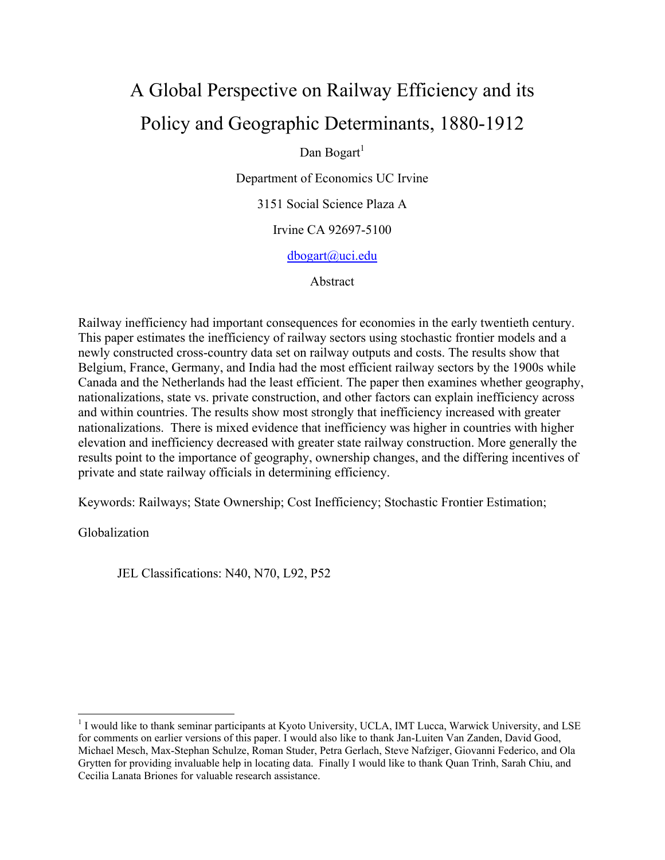# A Global Perspective on Railway Efficiency and its Policy and Geographic Determinants, 1880-1912

Dan Bogart $<sup>1</sup>$ </sup>

Department of Economics UC Irvine

3151 Social Science Plaza A

Irvine CA 92697-5100

dbogart@uci.edu

Abstract

Railway inefficiency had important consequences for economies in the early twentieth century. This paper estimates the inefficiency of railway sectors using stochastic frontier models and a newly constructed cross-country data set on railway outputs and costs. The results show that Belgium, France, Germany, and India had the most efficient railway sectors by the 1900s while Canada and the Netherlands had the least efficient. The paper then examines whether geography, nationalizations, state vs. private construction, and other factors can explain inefficiency across and within countries. The results show most strongly that inefficiency increased with greater nationalizations. There is mixed evidence that inefficiency was higher in countries with higher elevation and inefficiency decreased with greater state railway construction. More generally the results point to the importance of geography, ownership changes, and the differing incentives of private and state railway officials in determining efficiency.

Keywords: Railways; State Ownership; Cost Inefficiency; Stochastic Frontier Estimation;

Globalization

JEL Classifications: N40, N70, L92, P52

<sup>&</sup>lt;sup>1</sup> I would like to thank seminar participants at Kyoto University, UCLA, IMT Lucca, Warwick University, and LSE for comments on earlier versions of this paper. I would also like to thank Jan-Luiten Van Zanden, David Good, Michael Mesch, Max-Stephan Schulze, Roman Studer, Petra Gerlach, Steve Nafziger, Giovanni Federico, and Ola Grytten for providing invaluable help in locating data. Finally I would like to thank Quan Trinh, Sarah Chiu, and Cecilia Lanata Briones for valuable research assistance.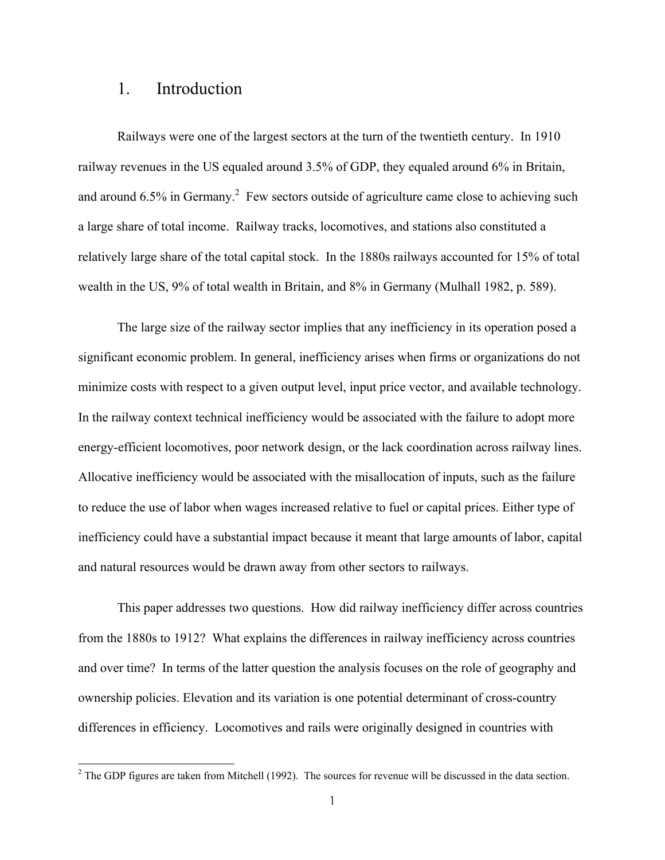#### 1. Introduction

 $\overline{a}$ 

Railways were one of the largest sectors at the turn of the twentieth century. In 1910 railway revenues in the US equaled around 3.5% of GDP, they equaled around 6% in Britain, and around  $6.5\%$  in Germany.<sup>2</sup> Few sectors outside of agriculture came close to achieving such a large share of total income. Railway tracks, locomotives, and stations also constituted a relatively large share of the total capital stock. In the 1880s railways accounted for 15% of total wealth in the US, 9% of total wealth in Britain, and 8% in Germany (Mulhall 1982, p. 589).

The large size of the railway sector implies that any inefficiency in its operation posed a significant economic problem. In general, inefficiency arises when firms or organizations do not minimize costs with respect to a given output level, input price vector, and available technology. In the railway context technical inefficiency would be associated with the failure to adopt more energy-efficient locomotives, poor network design, or the lack coordination across railway lines. Allocative inefficiency would be associated with the misallocation of inputs, such as the failure to reduce the use of labor when wages increased relative to fuel or capital prices. Either type of inefficiency could have a substantial impact because it meant that large amounts of labor, capital and natural resources would be drawn away from other sectors to railways.

This paper addresses two questions. How did railway inefficiency differ across countries from the 1880s to 1912? What explains the differences in railway inefficiency across countries and over time? In terms of the latter question the analysis focuses on the role of geography and ownership policies. Elevation and its variation is one potential determinant of cross-country differences in efficiency. Locomotives and rails were originally designed in countries with

 $2^2$  The GDP figures are taken from Mitchell (1992). The sources for revenue will be discussed in the data section.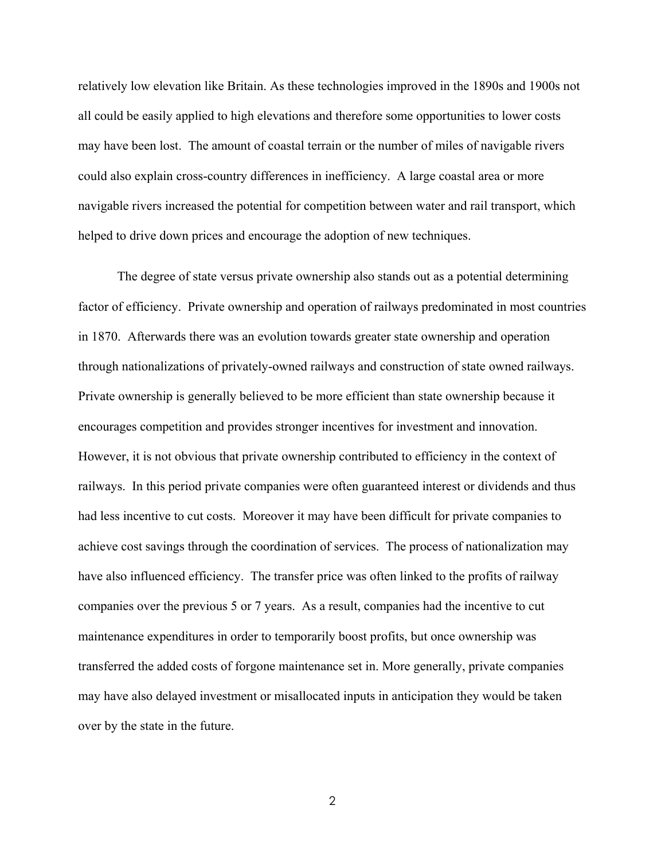relatively low elevation like Britain. As these technologies improved in the 1890s and 1900s not all could be easily applied to high elevations and therefore some opportunities to lower costs may have been lost. The amount of coastal terrain or the number of miles of navigable rivers could also explain cross-country differences in inefficiency. A large coastal area or more navigable rivers increased the potential for competition between water and rail transport, which helped to drive down prices and encourage the adoption of new techniques.

The degree of state versus private ownership also stands out as a potential determining factor of efficiency. Private ownership and operation of railways predominated in most countries in 1870. Afterwards there was an evolution towards greater state ownership and operation through nationalizations of privately-owned railways and construction of state owned railways. Private ownership is generally believed to be more efficient than state ownership because it encourages competition and provides stronger incentives for investment and innovation. However, it is not obvious that private ownership contributed to efficiency in the context of railways. In this period private companies were often guaranteed interest or dividends and thus had less incentive to cut costs. Moreover it may have been difficult for private companies to achieve cost savings through the coordination of services. The process of nationalization may have also influenced efficiency. The transfer price was often linked to the profits of railway companies over the previous 5 or 7 years. As a result, companies had the incentive to cut maintenance expenditures in order to temporarily boost profits, but once ownership was transferred the added costs of forgone maintenance set in. More generally, private companies may have also delayed investment or misallocated inputs in anticipation they would be taken over by the state in the future.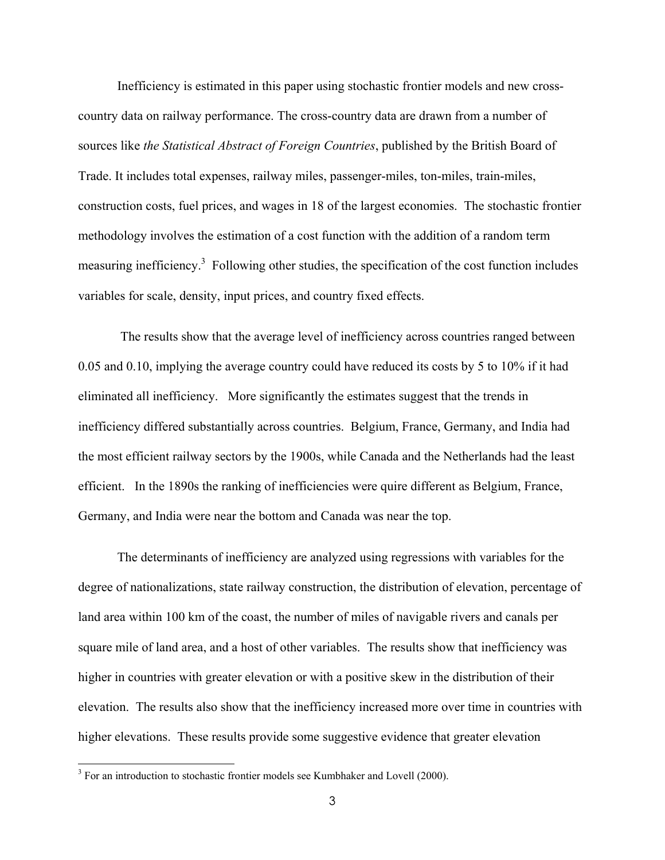Inefficiency is estimated in this paper using stochastic frontier models and new crosscountry data on railway performance. The cross-country data are drawn from a number of sources like *the Statistical Abstract of Foreign Countries*, published by the British Board of Trade. It includes total expenses, railway miles, passenger-miles, ton-miles, train-miles, construction costs, fuel prices, and wages in 18 of the largest economies. The stochastic frontier methodology involves the estimation of a cost function with the addition of a random term measuring inefficiency.<sup>3</sup> Following other studies, the specification of the cost function includes variables for scale, density, input prices, and country fixed effects.

 The results show that the average level of inefficiency across countries ranged between 0.05 and 0.10, implying the average country could have reduced its costs by 5 to 10% if it had eliminated all inefficiency. More significantly the estimates suggest that the trends in inefficiency differed substantially across countries. Belgium, France, Germany, and India had the most efficient railway sectors by the 1900s, while Canada and the Netherlands had the least efficient. In the 1890s the ranking of inefficiencies were quire different as Belgium, France, Germany, and India were near the bottom and Canada was near the top.

The determinants of inefficiency are analyzed using regressions with variables for the degree of nationalizations, state railway construction, the distribution of elevation, percentage of land area within 100 km of the coast, the number of miles of navigable rivers and canals per square mile of land area, and a host of other variables. The results show that inefficiency was higher in countries with greater elevation or with a positive skew in the distribution of their elevation. The results also show that the inefficiency increased more over time in countries with higher elevations. These results provide some suggestive evidence that greater elevation

 $3$  For an introduction to stochastic frontier models see Kumbhaker and Lovell (2000).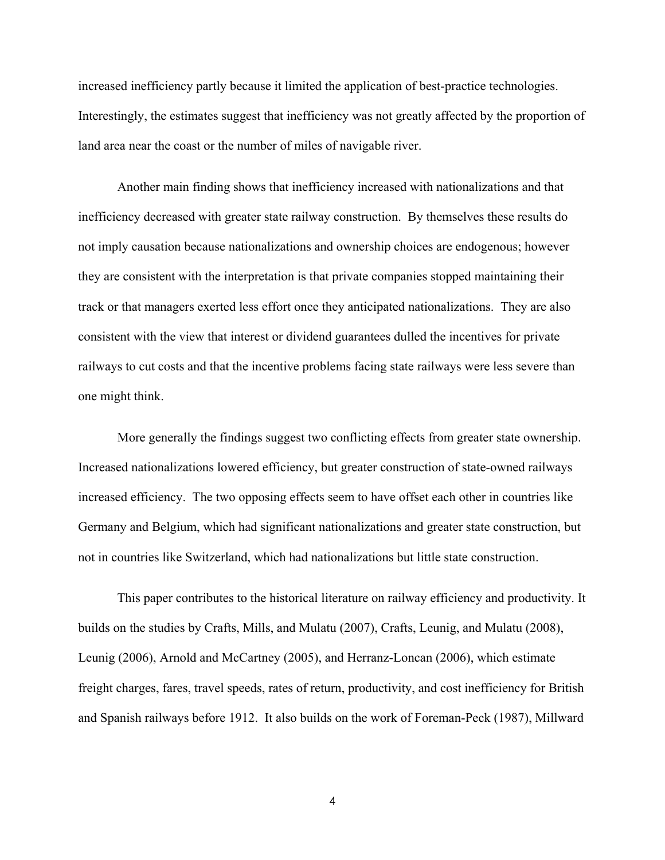increased inefficiency partly because it limited the application of best-practice technologies. Interestingly, the estimates suggest that inefficiency was not greatly affected by the proportion of land area near the coast or the number of miles of navigable river.

Another main finding shows that inefficiency increased with nationalizations and that inefficiency decreased with greater state railway construction. By themselves these results do not imply causation because nationalizations and ownership choices are endogenous; however they are consistent with the interpretation is that private companies stopped maintaining their track or that managers exerted less effort once they anticipated nationalizations. They are also consistent with the view that interest or dividend guarantees dulled the incentives for private railways to cut costs and that the incentive problems facing state railways were less severe than one might think.

More generally the findings suggest two conflicting effects from greater state ownership. Increased nationalizations lowered efficiency, but greater construction of state-owned railways increased efficiency. The two opposing effects seem to have offset each other in countries like Germany and Belgium, which had significant nationalizations and greater state construction, but not in countries like Switzerland, which had nationalizations but little state construction.

This paper contributes to the historical literature on railway efficiency and productivity. It builds on the studies by Crafts, Mills, and Mulatu (2007), Crafts, Leunig, and Mulatu (2008), Leunig (2006), Arnold and McCartney (2005), and Herranz-Loncan (2006), which estimate freight charges, fares, travel speeds, rates of return, productivity, and cost inefficiency for British and Spanish railways before 1912. It also builds on the work of Foreman-Peck (1987), Millward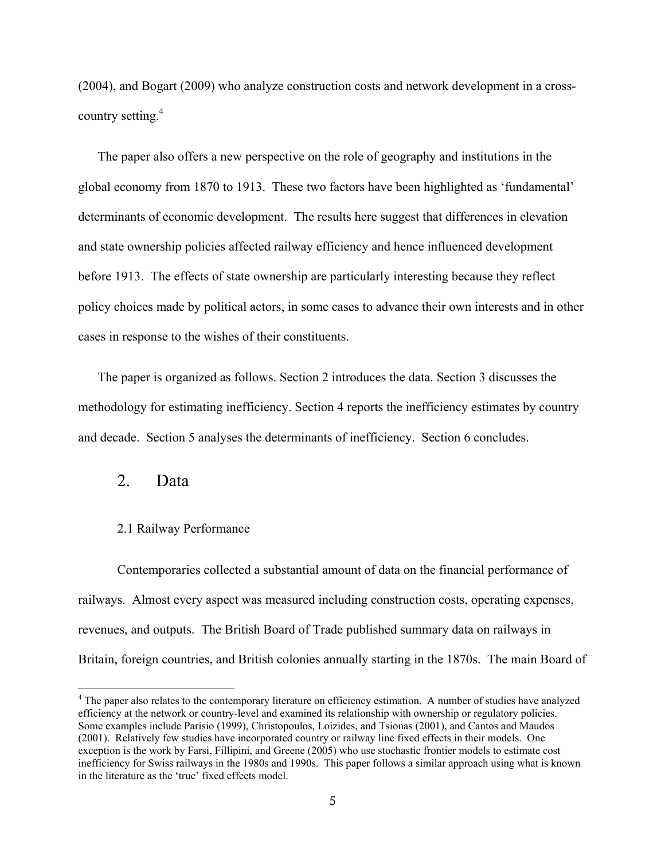(2004), and Bogart (2009) who analyze construction costs and network development in a crosscountry setting.<sup>4</sup>

The paper also offers a new perspective on the role of geography and institutions in the global economy from 1870 to 1913. These two factors have been highlighted as 'fundamental' determinants of economic development. The results here suggest that differences in elevation and state ownership policies affected railway efficiency and hence influenced development before 1913. The effects of state ownership are particularly interesting because they reflect policy choices made by political actors, in some cases to advance their own interests and in other cases in response to the wishes of their constituents.

The paper is organized as follows. Section 2 introduces the data. Section 3 discusses the methodology for estimating inefficiency. Section 4 reports the inefficiency estimates by country and decade. Section 5 analyses the determinants of inefficiency. Section 6 concludes.

#### 2. Data

 $\overline{a}$ 

#### 2.1 Railway Performance

Contemporaries collected a substantial amount of data on the financial performance of railways. Almost every aspect was measured including construction costs, operating expenses, revenues, and outputs. The British Board of Trade published summary data on railways in Britain, foreign countries, and British colonies annually starting in the 1870s. The main Board of

<sup>&</sup>lt;sup>4</sup> The paper also relates to the contemporary literature on efficiency estimation. A number of studies have analyzed efficiency at the network or country-level and examined its relationship with ownership or regulatory policies. Some examples include Parisio (1999), Christopoulos, Loizides, and Tsionas (2001), and Cantos and Maudos (2001). Relatively few studies have incorporated country or railway line fixed effects in their models. One exception is the work by Farsi, Fillipini, and Greene (2005) who use stochastic frontier models to estimate cost inefficiency for Swiss railways in the 1980s and 1990s. This paper follows a similar approach using what is known in the literature as the 'true' fixed effects model.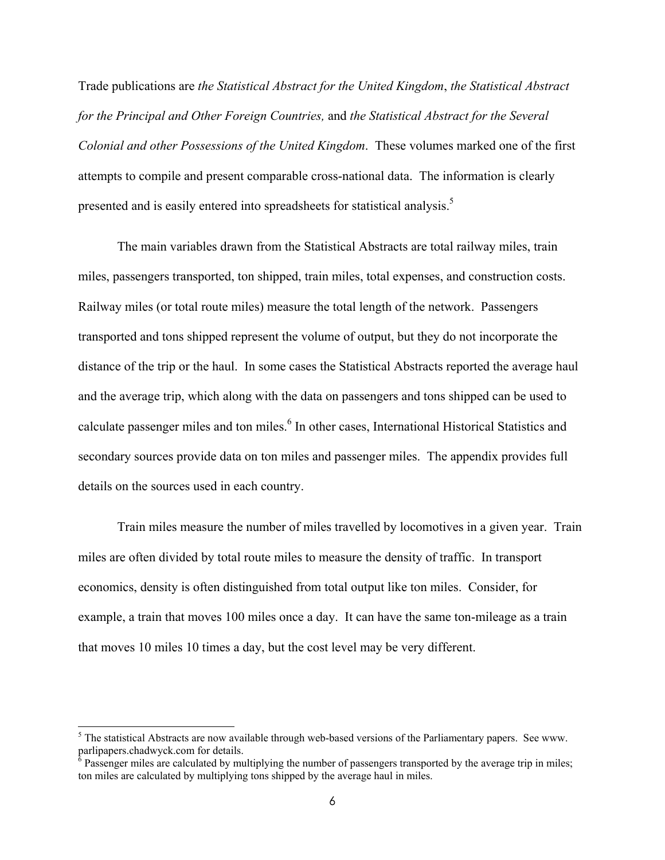Trade publications are *the Statistical Abstract for the United Kingdom*, *the Statistical Abstract for the Principal and Other Foreign Countries,* and *the Statistical Abstract for the Several Colonial and other Possessions of the United Kingdom*. These volumes marked one of the first attempts to compile and present comparable cross-national data. The information is clearly presented and is easily entered into spreadsheets for statistical analysis.<sup>5</sup>

The main variables drawn from the Statistical Abstracts are total railway miles, train miles, passengers transported, ton shipped, train miles, total expenses, and construction costs. Railway miles (or total route miles) measure the total length of the network. Passengers transported and tons shipped represent the volume of output, but they do not incorporate the distance of the trip or the haul. In some cases the Statistical Abstracts reported the average haul and the average trip, which along with the data on passengers and tons shipped can be used to calculate passenger miles and ton miles.<sup>6</sup> In other cases, International Historical Statistics and secondary sources provide data on ton miles and passenger miles. The appendix provides full details on the sources used in each country.

Train miles measure the number of miles travelled by locomotives in a given year. Train miles are often divided by total route miles to measure the density of traffic. In transport economics, density is often distinguished from total output like ton miles. Consider, for example, a train that moves 100 miles once a day. It can have the same ton-mileage as a train that moves 10 miles 10 times a day, but the cost level may be very different.

 $<sup>5</sup>$  The statistical Abstracts are now available through web-based versions of the Parliamentary papers. See www.</sup> parlipapers.chadwyck.com for details.<br><sup>6</sup> Passenger miles are calculated by multiplying the number of passengers transported by the average trip in miles;

ton miles are calculated by multiplying tons shipped by the average haul in miles.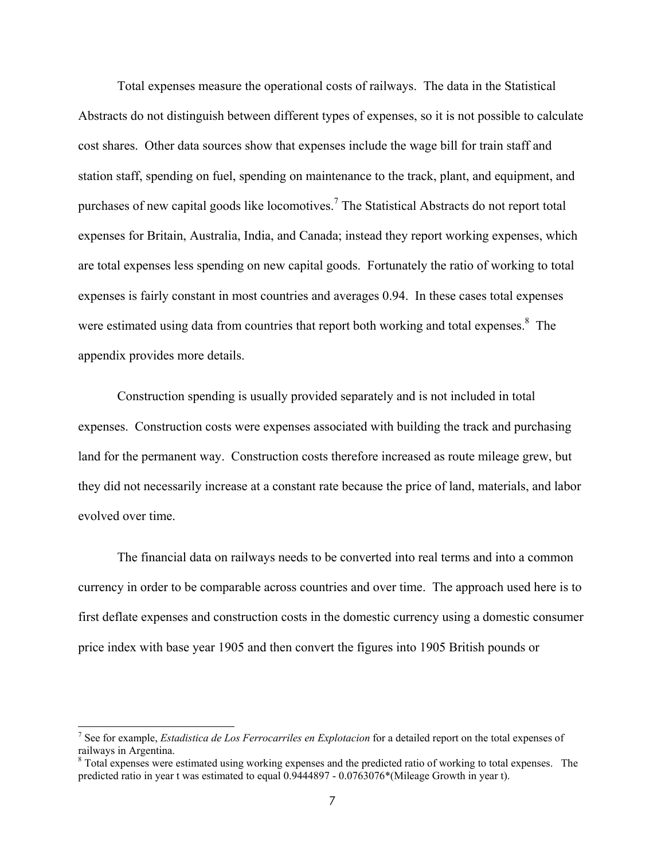Total expenses measure the operational costs of railways. The data in the Statistical Abstracts do not distinguish between different types of expenses, so it is not possible to calculate cost shares. Other data sources show that expenses include the wage bill for train staff and station staff, spending on fuel, spending on maintenance to the track, plant, and equipment, and purchases of new capital goods like locomotives.<sup>7</sup> The Statistical Abstracts do not report total expenses for Britain, Australia, India, and Canada; instead they report working expenses, which are total expenses less spending on new capital goods. Fortunately the ratio of working to total expenses is fairly constant in most countries and averages 0.94. In these cases total expenses were estimated using data from countries that report both working and total expenses.<sup>8</sup> The appendix provides more details.

Construction spending is usually provided separately and is not included in total expenses. Construction costs were expenses associated with building the track and purchasing land for the permanent way. Construction costs therefore increased as route mileage grew, but they did not necessarily increase at a constant rate because the price of land, materials, and labor evolved over time.

The financial data on railways needs to be converted into real terms and into a common currency in order to be comparable across countries and over time. The approach used here is to first deflate expenses and construction costs in the domestic currency using a domestic consumer price index with base year 1905 and then convert the figures into 1905 British pounds or

<sup>7</sup> See for example, *Estadistica de Los Ferrocarriles en Explotacion* for a detailed report on the total expenses of railways in Argentina.

<sup>&</sup>lt;sup>8</sup> Total expenses were estimated using working expenses and the predicted ratio of working to total expenses. The predicted ratio in year t was estimated to equal 0.9444897 - 0.0763076\*(Mileage Growth in year t).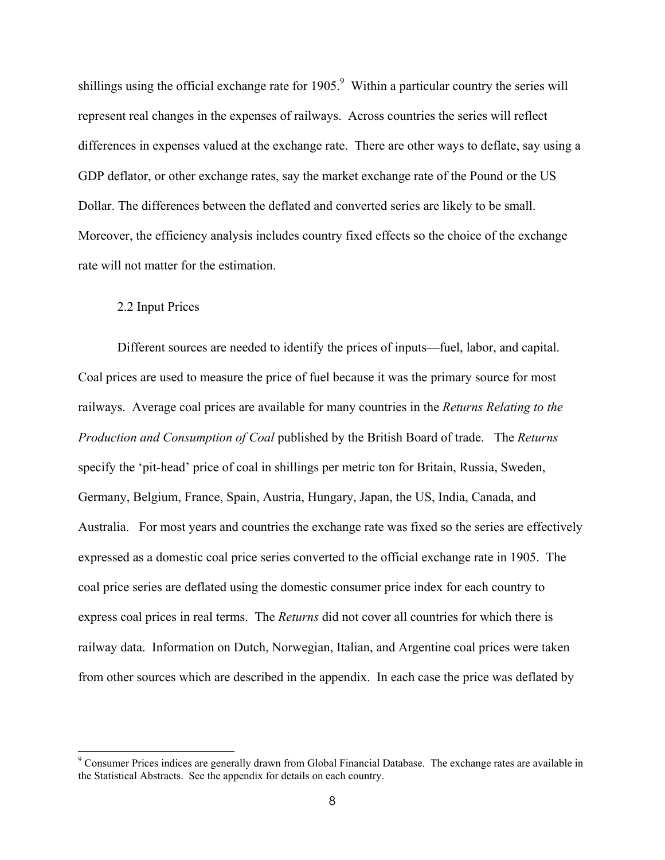shillings using the official exchange rate for  $1905$ .<sup>9</sup> Within a particular country the series will represent real changes in the expenses of railways. Across countries the series will reflect differences in expenses valued at the exchange rate. There are other ways to deflate, say using a GDP deflator, or other exchange rates, say the market exchange rate of the Pound or the US Dollar. The differences between the deflated and converted series are likely to be small. Moreover, the efficiency analysis includes country fixed effects so the choice of the exchange rate will not matter for the estimation.

#### 2.2 Input Prices

Different sources are needed to identify the prices of inputs—fuel, labor, and capital. Coal prices are used to measure the price of fuel because it was the primary source for most railways. Average coal prices are available for many countries in the *Returns Relating to the Production and Consumption of Coal* published by the British Board of trade. The *Returns* specify the 'pit-head' price of coal in shillings per metric ton for Britain, Russia, Sweden, Germany, Belgium, France, Spain, Austria, Hungary, Japan, the US, India, Canada, and Australia. For most years and countries the exchange rate was fixed so the series are effectively expressed as a domestic coal price series converted to the official exchange rate in 1905. The coal price series are deflated using the domestic consumer price index for each country to express coal prices in real terms. The *Returns* did not cover all countries for which there is railway data. Information on Dutch, Norwegian, Italian, and Argentine coal prices were taken from other sources which are described in the appendix. In each case the price was deflated by

<sup>&</sup>lt;sup>9</sup> Consumer Prices indices are generally drawn from Global Financial Database. The exchange rates are available in the Statistical Abstracts. See the appendix for details on each country.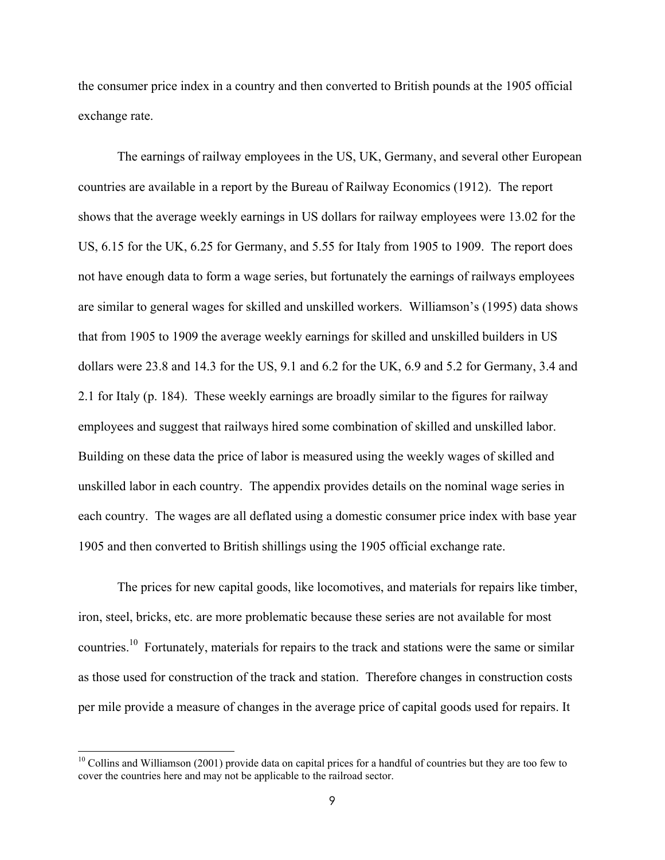the consumer price index in a country and then converted to British pounds at the 1905 official exchange rate.

The earnings of railway employees in the US, UK, Germany, and several other European countries are available in a report by the Bureau of Railway Economics (1912). The report shows that the average weekly earnings in US dollars for railway employees were 13.02 for the US, 6.15 for the UK, 6.25 for Germany, and 5.55 for Italy from 1905 to 1909. The report does not have enough data to form a wage series, but fortunately the earnings of railways employees are similar to general wages for skilled and unskilled workers. Williamson's (1995) data shows that from 1905 to 1909 the average weekly earnings for skilled and unskilled builders in US dollars were 23.8 and 14.3 for the US, 9.1 and 6.2 for the UK, 6.9 and 5.2 for Germany, 3.4 and 2.1 for Italy (p. 184). These weekly earnings are broadly similar to the figures for railway employees and suggest that railways hired some combination of skilled and unskilled labor. Building on these data the price of labor is measured using the weekly wages of skilled and unskilled labor in each country. The appendix provides details on the nominal wage series in each country. The wages are all deflated using a domestic consumer price index with base year 1905 and then converted to British shillings using the 1905 official exchange rate.

The prices for new capital goods, like locomotives, and materials for repairs like timber, iron, steel, bricks, etc. are more problematic because these series are not available for most countries.<sup>10</sup> Fortunately, materials for repairs to the track and stations were the same or similar as those used for construction of the track and station. Therefore changes in construction costs per mile provide a measure of changes in the average price of capital goods used for repairs. It

 $10$  Collins and Williamson (2001) provide data on capital prices for a handful of countries but they are too few to cover the countries here and may not be applicable to the railroad sector.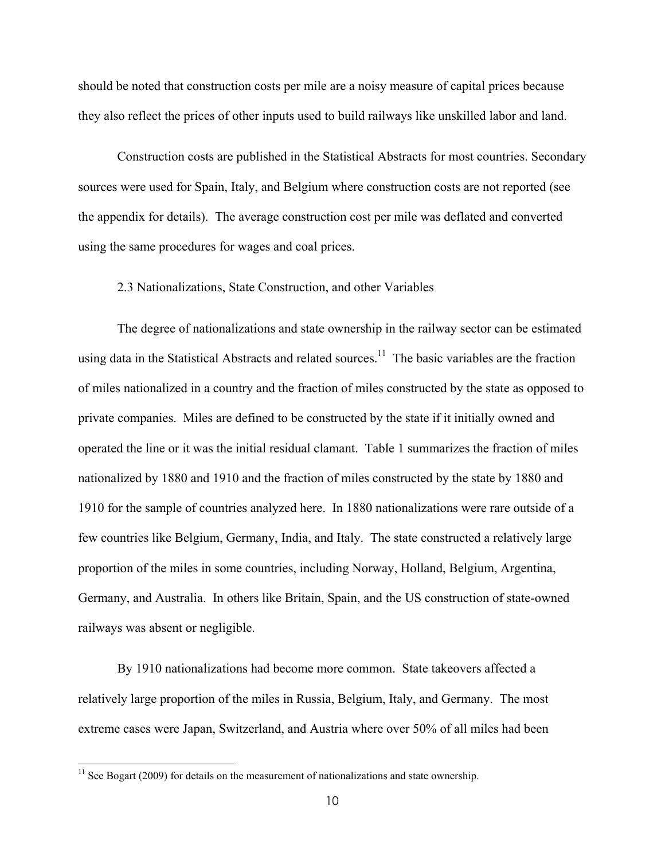should be noted that construction costs per mile are a noisy measure of capital prices because they also reflect the prices of other inputs used to build railways like unskilled labor and land.

Construction costs are published in the Statistical Abstracts for most countries. Secondary sources were used for Spain, Italy, and Belgium where construction costs are not reported (see the appendix for details). The average construction cost per mile was deflated and converted using the same procedures for wages and coal prices.

#### 2.3 Nationalizations, State Construction, and other Variables

The degree of nationalizations and state ownership in the railway sector can be estimated using data in the Statistical Abstracts and related sources.<sup>11</sup> The basic variables are the fraction of miles nationalized in a country and the fraction of miles constructed by the state as opposed to private companies. Miles are defined to be constructed by the state if it initially owned and operated the line or it was the initial residual clamant. Table 1 summarizes the fraction of miles nationalized by 1880 and 1910 and the fraction of miles constructed by the state by 1880 and 1910 for the sample of countries analyzed here. In 1880 nationalizations were rare outside of a few countries like Belgium, Germany, India, and Italy. The state constructed a relatively large proportion of the miles in some countries, including Norway, Holland, Belgium, Argentina, Germany, and Australia. In others like Britain, Spain, and the US construction of state-owned railways was absent or negligible.

By 1910 nationalizations had become more common. State takeovers affected a relatively large proportion of the miles in Russia, Belgium, Italy, and Germany. The most extreme cases were Japan, Switzerland, and Austria where over 50% of all miles had been

 $11$  See Bogart (2009) for details on the measurement of nationalizations and state ownership.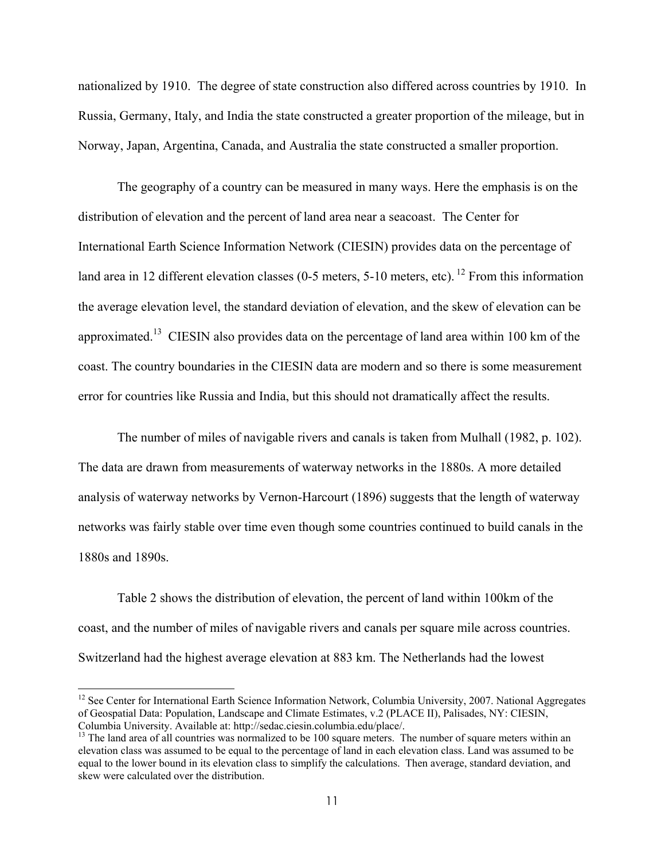nationalized by 1910. The degree of state construction also differed across countries by 1910. In Russia, Germany, Italy, and India the state constructed a greater proportion of the mileage, but in Norway, Japan, Argentina, Canada, and Australia the state constructed a smaller proportion.

The geography of a country can be measured in many ways. Here the emphasis is on the distribution of elevation and the percent of land area near a seacoast. The Center for International Earth Science Information Network (CIESIN) provides data on the percentage of land area in 12 different elevation classes (0-5 meters, 5-10 meters, etc). <sup>12</sup> From this information the average elevation level, the standard deviation of elevation, and the skew of elevation can be approximated.<sup>13</sup> CIESIN also provides data on the percentage of land area within 100 km of the coast. The country boundaries in the CIESIN data are modern and so there is some measurement error for countries like Russia and India, but this should not dramatically affect the results.

The number of miles of navigable rivers and canals is taken from Mulhall (1982, p. 102). The data are drawn from measurements of waterway networks in the 1880s. A more detailed analysis of waterway networks by Vernon-Harcourt (1896) suggests that the length of waterway networks was fairly stable over time even though some countries continued to build canals in the 1880s and 1890s.

Table 2 shows the distribution of elevation, the percent of land within 100km of the coast, and the number of miles of navigable rivers and canals per square mile across countries. Switzerland had the highest average elevation at 883 km. The Netherlands had the lowest

 $12$  See Center for International Earth Science Information Network, Columbia University, 2007. National Aggregates of Geospatial Data: Population, Landscape and Climate Estimates, v.2 (PLACE II), Palisades, NY: CIESIN, Columbia University. Available at: http://sedac.ciesin.columbia.edu/place/.

<sup>&</sup>lt;sup>13</sup> The land area of all countries was normalized to be 100 square meters. The number of square meters within an elevation class was assumed to be equal to the percentage of land in each elevation class. Land was assumed to be equal to the lower bound in its elevation class to simplify the calculations. Then average, standard deviation, and skew were calculated over the distribution.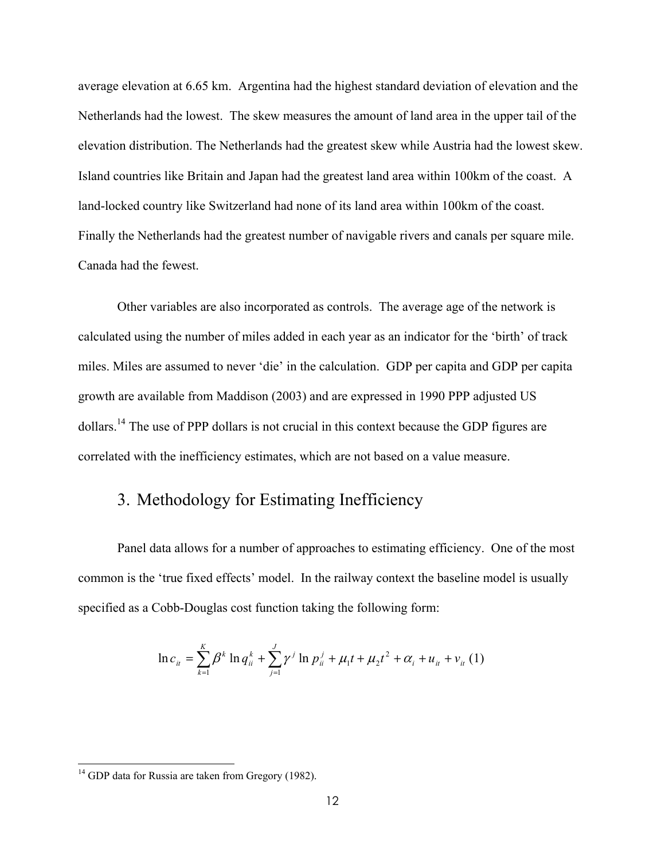average elevation at 6.65 km. Argentina had the highest standard deviation of elevation and the Netherlands had the lowest. The skew measures the amount of land area in the upper tail of the elevation distribution. The Netherlands had the greatest skew while Austria had the lowest skew. Island countries like Britain and Japan had the greatest land area within 100km of the coast. A land-locked country like Switzerland had none of its land area within 100km of the coast. Finally the Netherlands had the greatest number of navigable rivers and canals per square mile. Canada had the fewest.

Other variables are also incorporated as controls. The average age of the network is calculated using the number of miles added in each year as an indicator for the 'birth' of track miles. Miles are assumed to never 'die' in the calculation. GDP per capita and GDP per capita growth are available from Maddison (2003) and are expressed in 1990 PPP adjusted US dollars.14 The use of PPP dollars is not crucial in this context because the GDP figures are correlated with the inefficiency estimates, which are not based on a value measure.

## 3. Methodology for Estimating Inefficiency

Panel data allows for a number of approaches to estimating efficiency. One of the most common is the 'true fixed effects' model. In the railway context the baseline model is usually specified as a Cobb-Douglas cost function taking the following form:

$$
\ln c_{ii} = \sum_{k=1}^{K} \beta^k \ln q_{ii}^k + \sum_{j=1}^{J} \gamma^j \ln p_{ii}^j + \mu_1 t + \mu_2 t^2 + \alpha_i + u_{ii} + v_{ii} \tag{1}
$$

<sup>&</sup>lt;sup>14</sup> GDP data for Russia are taken from Gregory (1982).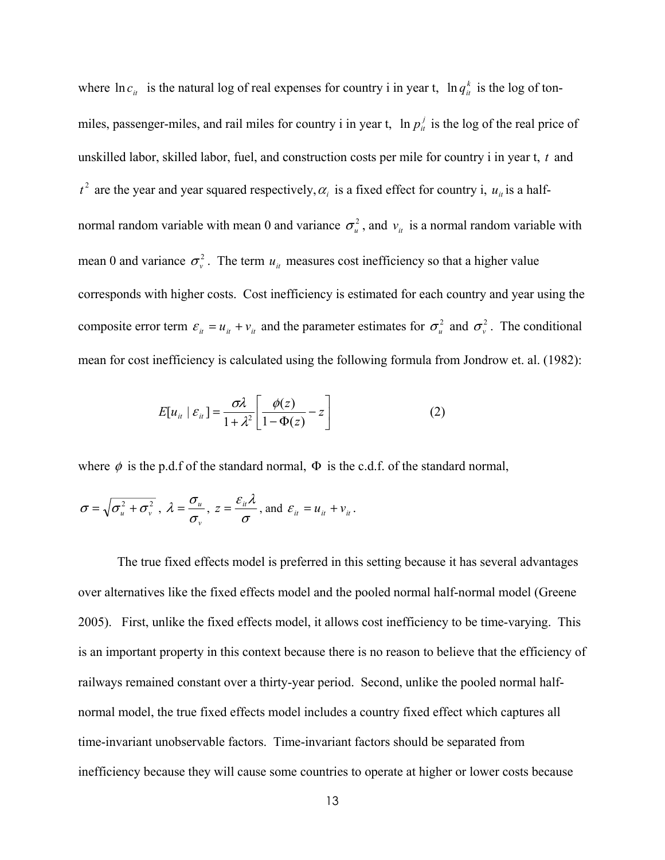where  $\ln c_i$  is the natural log of real expenses for country i in year t,  $\ln q_i^k$  is the log of tonmiles, passenger-miles, and rail miles for country i in year t,  $\ln p_i^j$  is the log of the real price of unskilled labor, skilled labor, fuel, and construction costs per mile for country i in year t, *t* and  $t^2$  are the year and year squared respectively,  $\alpha_i$  is a fixed effect for country i,  $u_i$  is a halfnormal random variable with mean 0 and variance  $\sigma_u^2$ , and  $v_u$  is a normal random variable with mean 0 and variance  $\sigma_v^2$ . The term  $u_u$  measures cost inefficiency so that a higher value corresponds with higher costs. Cost inefficiency is estimated for each country and year using the composite error term  $\varepsilon_{ii} = u_{ii} + v_{ii}$  and the parameter estimates for  $\sigma_u^2$  and  $\sigma_v^2$ . The conditional mean for cost inefficiency is calculated using the following formula from Jondrow et. al. (1982):

$$
E[u_{it} | \varepsilon_{it}] = \frac{\sigma \lambda}{1 + \lambda^2} \left[ \frac{\phi(z)}{1 - \Phi(z)} - z \right]
$$
 (2)

where  $\phi$  is the p.d.f of the standard normal,  $\Phi$  is the c.d.f. of the standard normal,

$$
\sigma = \sqrt{\sigma_u^2 + \sigma_v^2}
$$
,  $\lambda = \frac{\sigma_u}{\sigma_v}$ ,  $z = \frac{\varepsilon_u \lambda}{\sigma}$ , and  $\varepsilon_u = u_u + v_u$ .

The true fixed effects model is preferred in this setting because it has several advantages over alternatives like the fixed effects model and the pooled normal half-normal model (Greene 2005). First, unlike the fixed effects model, it allows cost inefficiency to be time-varying. This is an important property in this context because there is no reason to believe that the efficiency of railways remained constant over a thirty-year period. Second, unlike the pooled normal halfnormal model, the true fixed effects model includes a country fixed effect which captures all time-invariant unobservable factors. Time-invariant factors should be separated from inefficiency because they will cause some countries to operate at higher or lower costs because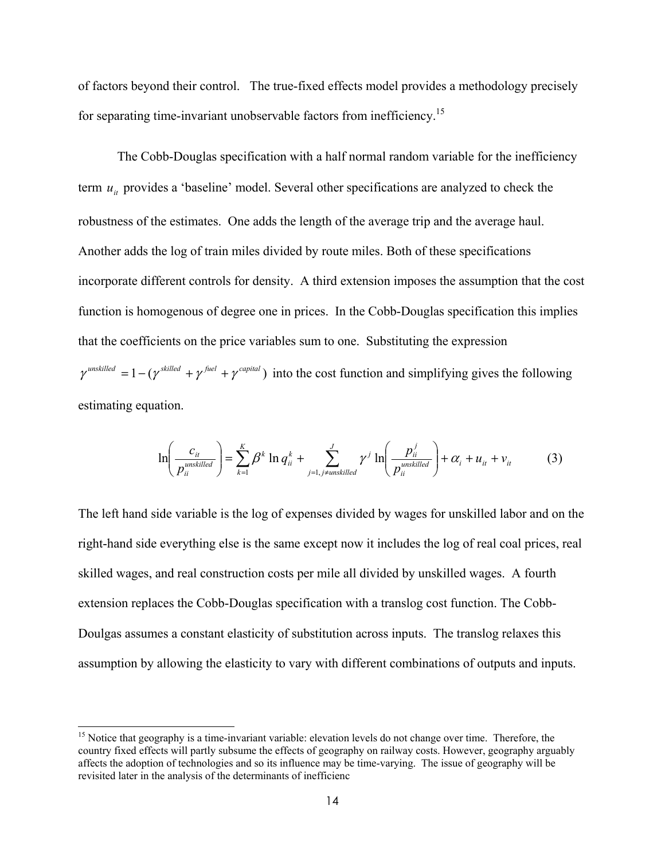of factors beyond their control. The true-fixed effects model provides a methodology precisely for separating time-invariant unobservable factors from inefficiency.<sup>15</sup>

The Cobb-Douglas specification with a half normal random variable for the inefficiency term  $u_{it}$  provides a 'baseline' model. Several other specifications are analyzed to check the robustness of the estimates. One adds the length of the average trip and the average haul. Another adds the log of train miles divided by route miles. Both of these specifications incorporate different controls for density. A third extension imposes the assumption that the cost function is homogenous of degree one in prices. In the Cobb-Douglas specification this implies that the coefficients on the price variables sum to one. Substituting the expression  $\gamma^{unskilled} = 1 - (\gamma^{skilled} + \gamma^{fuel} + \gamma^{capital})$  into the cost function and simplifying gives the following estimating equation.

$$
\ln\left(\frac{c_{it}}{p_{ii}^{unskilled}}\right) = \sum_{k=1}^{K} \beta^k \ln q_{ii}^k + \sum_{j=1, j \neq unskilled}^{J} \gamma^j \ln\left(\frac{p_{ii}^j}{p_{ii}^{unskilled}}\right) + \alpha_i + u_{ii} + v_{ii}
$$
(3)

The left hand side variable is the log of expenses divided by wages for unskilled labor and on the right-hand side everything else is the same except now it includes the log of real coal prices, real skilled wages, and real construction costs per mile all divided by unskilled wages. A fourth extension replaces the Cobb-Douglas specification with a translog cost function. The Cobb-Doulgas assumes a constant elasticity of substitution across inputs. The translog relaxes this assumption by allowing the elasticity to vary with different combinations of outputs and inputs.

<sup>&</sup>lt;sup>15</sup> Notice that geography is a time-invariant variable: elevation levels do not change over time. Therefore, the country fixed effects will partly subsume the effects of geography on railway costs. However, geography arguably affects the adoption of technologies and so its influence may be time-varying. The issue of geography will be revisited later in the analysis of the determinants of inefficienc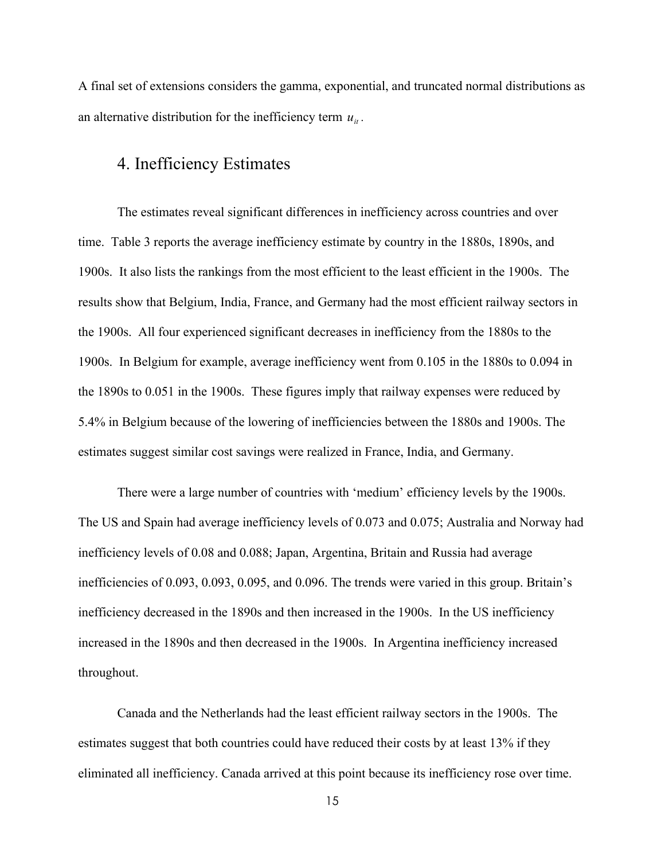A final set of extensions considers the gamma, exponential, and truncated normal distributions as an alternative distribution for the inefficiency term  $u_{it}$ .

## 4. Inefficiency Estimates

The estimates reveal significant differences in inefficiency across countries and over time. Table 3 reports the average inefficiency estimate by country in the 1880s, 1890s, and 1900s. It also lists the rankings from the most efficient to the least efficient in the 1900s. The results show that Belgium, India, France, and Germany had the most efficient railway sectors in the 1900s. All four experienced significant decreases in inefficiency from the 1880s to the 1900s. In Belgium for example, average inefficiency went from 0.105 in the 1880s to 0.094 in the 1890s to 0.051 in the 1900s. These figures imply that railway expenses were reduced by 5.4% in Belgium because of the lowering of inefficiencies between the 1880s and 1900s. The estimates suggest similar cost savings were realized in France, India, and Germany.

There were a large number of countries with 'medium' efficiency levels by the 1900s. The US and Spain had average inefficiency levels of 0.073 and 0.075; Australia and Norway had inefficiency levels of 0.08 and 0.088; Japan, Argentina, Britain and Russia had average inefficiencies of 0.093, 0.093, 0.095, and 0.096. The trends were varied in this group. Britain's inefficiency decreased in the 1890s and then increased in the 1900s. In the US inefficiency increased in the 1890s and then decreased in the 1900s. In Argentina inefficiency increased throughout.

Canada and the Netherlands had the least efficient railway sectors in the 1900s. The estimates suggest that both countries could have reduced their costs by at least 13% if they eliminated all inefficiency. Canada arrived at this point because its inefficiency rose over time.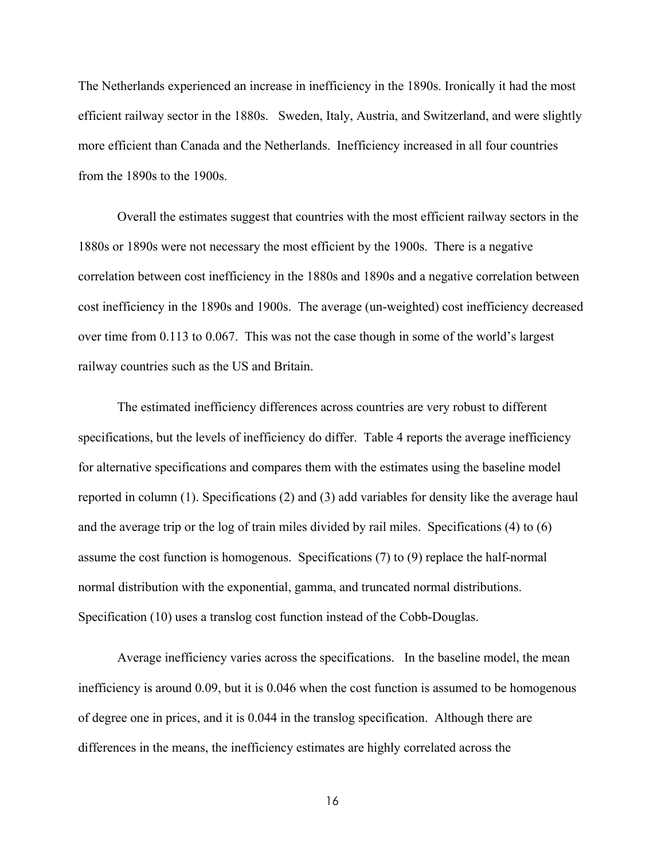The Netherlands experienced an increase in inefficiency in the 1890s. Ironically it had the most efficient railway sector in the 1880s. Sweden, Italy, Austria, and Switzerland, and were slightly more efficient than Canada and the Netherlands. Inefficiency increased in all four countries from the 1890s to the 1900s.

Overall the estimates suggest that countries with the most efficient railway sectors in the 1880s or 1890s were not necessary the most efficient by the 1900s. There is a negative correlation between cost inefficiency in the 1880s and 1890s and a negative correlation between cost inefficiency in the 1890s and 1900s. The average (un-weighted) cost inefficiency decreased over time from 0.113 to 0.067. This was not the case though in some of the world's largest railway countries such as the US and Britain.

The estimated inefficiency differences across countries are very robust to different specifications, but the levels of inefficiency do differ. Table 4 reports the average inefficiency for alternative specifications and compares them with the estimates using the baseline model reported in column (1). Specifications (2) and (3) add variables for density like the average haul and the average trip or the log of train miles divided by rail miles. Specifications (4) to (6) assume the cost function is homogenous. Specifications (7) to (9) replace the half-normal normal distribution with the exponential, gamma, and truncated normal distributions. Specification (10) uses a translog cost function instead of the Cobb-Douglas.

Average inefficiency varies across the specifications. In the baseline model, the mean inefficiency is around 0.09, but it is 0.046 when the cost function is assumed to be homogenous of degree one in prices, and it is 0.044 in the translog specification. Although there are differences in the means, the inefficiency estimates are highly correlated across the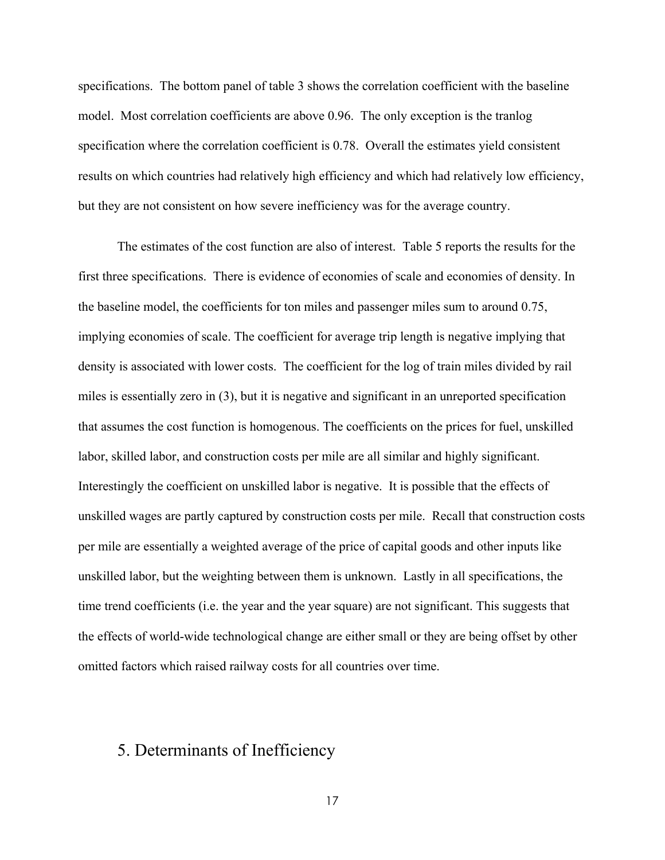specifications. The bottom panel of table 3 shows the correlation coefficient with the baseline model. Most correlation coefficients are above 0.96. The only exception is the tranlog specification where the correlation coefficient is 0.78. Overall the estimates yield consistent results on which countries had relatively high efficiency and which had relatively low efficiency, but they are not consistent on how severe inefficiency was for the average country.

The estimates of the cost function are also of interest. Table 5 reports the results for the first three specifications. There is evidence of economies of scale and economies of density. In the baseline model, the coefficients for ton miles and passenger miles sum to around 0.75, implying economies of scale. The coefficient for average trip length is negative implying that density is associated with lower costs. The coefficient for the log of train miles divided by rail miles is essentially zero in (3), but it is negative and significant in an unreported specification that assumes the cost function is homogenous. The coefficients on the prices for fuel, unskilled labor, skilled labor, and construction costs per mile are all similar and highly significant. Interestingly the coefficient on unskilled labor is negative. It is possible that the effects of unskilled wages are partly captured by construction costs per mile. Recall that construction costs per mile are essentially a weighted average of the price of capital goods and other inputs like unskilled labor, but the weighting between them is unknown. Lastly in all specifications, the time trend coefficients (i.e. the year and the year square) are not significant. This suggests that the effects of world-wide technological change are either small or they are being offset by other omitted factors which raised railway costs for all countries over time.

## 5. Determinants of Inefficiency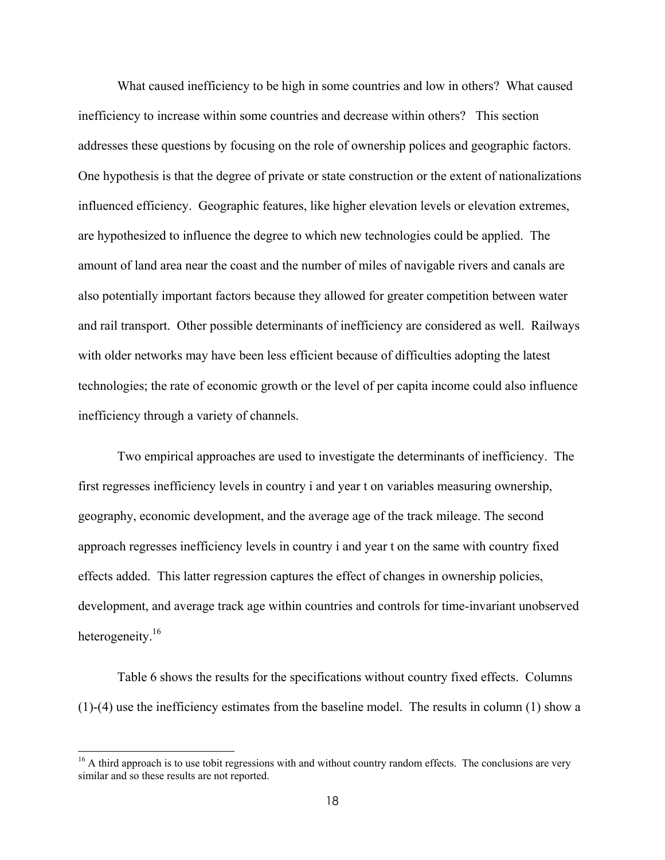What caused inefficiency to be high in some countries and low in others? What caused inefficiency to increase within some countries and decrease within others? This section addresses these questions by focusing on the role of ownership polices and geographic factors. One hypothesis is that the degree of private or state construction or the extent of nationalizations influenced efficiency. Geographic features, like higher elevation levels or elevation extremes, are hypothesized to influence the degree to which new technologies could be applied. The amount of land area near the coast and the number of miles of navigable rivers and canals are also potentially important factors because they allowed for greater competition between water and rail transport. Other possible determinants of inefficiency are considered as well. Railways with older networks may have been less efficient because of difficulties adopting the latest technologies; the rate of economic growth or the level of per capita income could also influence inefficiency through a variety of channels.

Two empirical approaches are used to investigate the determinants of inefficiency. The first regresses inefficiency levels in country i and year t on variables measuring ownership, geography, economic development, and the average age of the track mileage. The second approach regresses inefficiency levels in country i and year t on the same with country fixed effects added. This latter regression captures the effect of changes in ownership policies, development, and average track age within countries and controls for time-invariant unobserved heterogeneity.<sup>16</sup>

Table 6 shows the results for the specifications without country fixed effects. Columns (1)-(4) use the inefficiency estimates from the baseline model. The results in column (1) show a

 $16$  A third approach is to use tobit regressions with and without country random effects. The conclusions are very similar and so these results are not reported.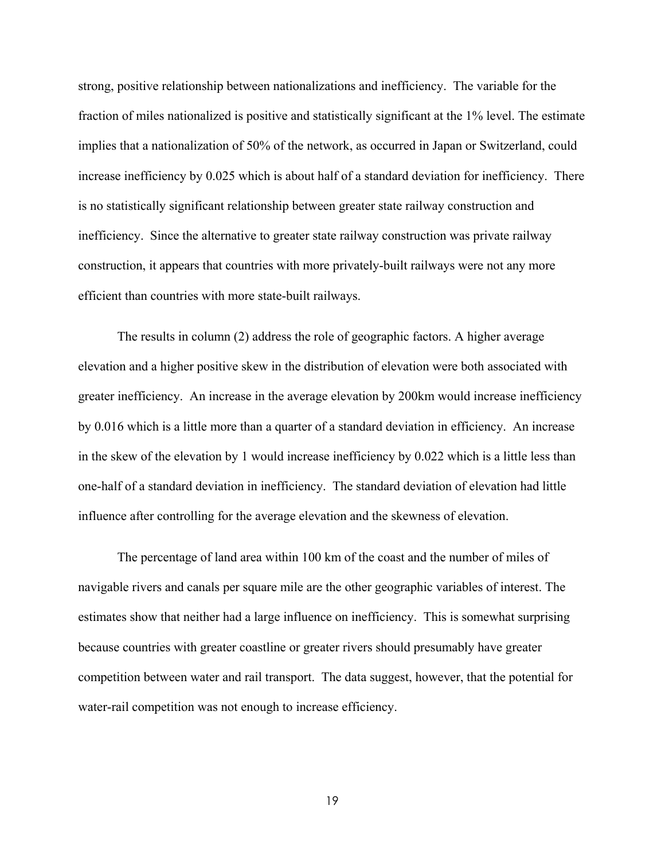strong, positive relationship between nationalizations and inefficiency. The variable for the fraction of miles nationalized is positive and statistically significant at the 1% level. The estimate implies that a nationalization of 50% of the network, as occurred in Japan or Switzerland, could increase inefficiency by 0.025 which is about half of a standard deviation for inefficiency. There is no statistically significant relationship between greater state railway construction and inefficiency. Since the alternative to greater state railway construction was private railway construction, it appears that countries with more privately-built railways were not any more efficient than countries with more state-built railways.

The results in column (2) address the role of geographic factors. A higher average elevation and a higher positive skew in the distribution of elevation were both associated with greater inefficiency. An increase in the average elevation by 200km would increase inefficiency by 0.016 which is a little more than a quarter of a standard deviation in efficiency. An increase in the skew of the elevation by 1 would increase inefficiency by 0.022 which is a little less than one-half of a standard deviation in inefficiency. The standard deviation of elevation had little influence after controlling for the average elevation and the skewness of elevation.

The percentage of land area within 100 km of the coast and the number of miles of navigable rivers and canals per square mile are the other geographic variables of interest. The estimates show that neither had a large influence on inefficiency. This is somewhat surprising because countries with greater coastline or greater rivers should presumably have greater competition between water and rail transport. The data suggest, however, that the potential for water-rail competition was not enough to increase efficiency.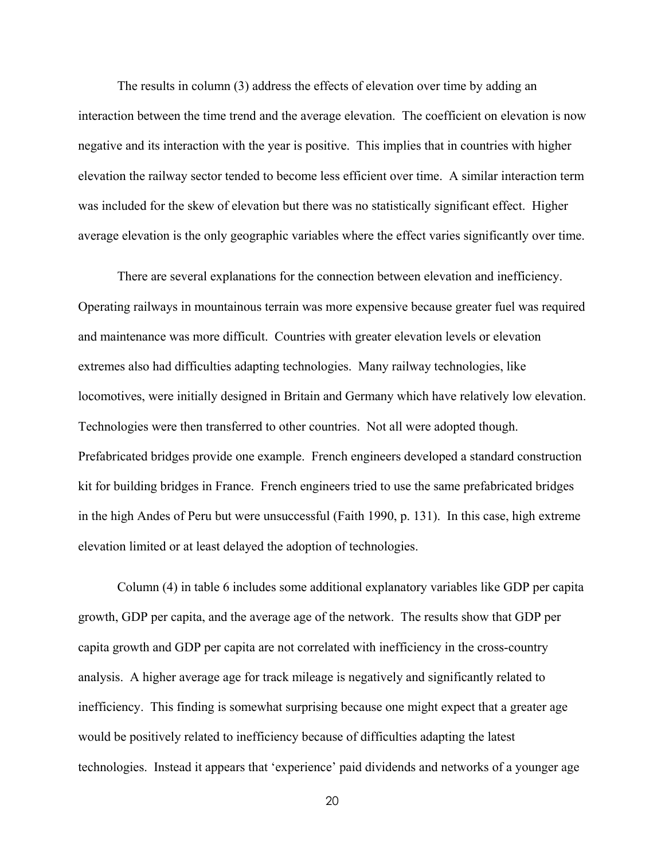The results in column (3) address the effects of elevation over time by adding an interaction between the time trend and the average elevation. The coefficient on elevation is now negative and its interaction with the year is positive. This implies that in countries with higher elevation the railway sector tended to become less efficient over time. A similar interaction term was included for the skew of elevation but there was no statistically significant effect. Higher average elevation is the only geographic variables where the effect varies significantly over time.

There are several explanations for the connection between elevation and inefficiency. Operating railways in mountainous terrain was more expensive because greater fuel was required and maintenance was more difficult. Countries with greater elevation levels or elevation extremes also had difficulties adapting technologies. Many railway technologies, like locomotives, were initially designed in Britain and Germany which have relatively low elevation. Technologies were then transferred to other countries. Not all were adopted though. Prefabricated bridges provide one example. French engineers developed a standard construction kit for building bridges in France. French engineers tried to use the same prefabricated bridges in the high Andes of Peru but were unsuccessful (Faith 1990, p. 131). In this case, high extreme elevation limited or at least delayed the adoption of technologies.

Column (4) in table 6 includes some additional explanatory variables like GDP per capita growth, GDP per capita, and the average age of the network. The results show that GDP per capita growth and GDP per capita are not correlated with inefficiency in the cross-country analysis. A higher average age for track mileage is negatively and significantly related to inefficiency. This finding is somewhat surprising because one might expect that a greater age would be positively related to inefficiency because of difficulties adapting the latest technologies. Instead it appears that 'experience' paid dividends and networks of a younger age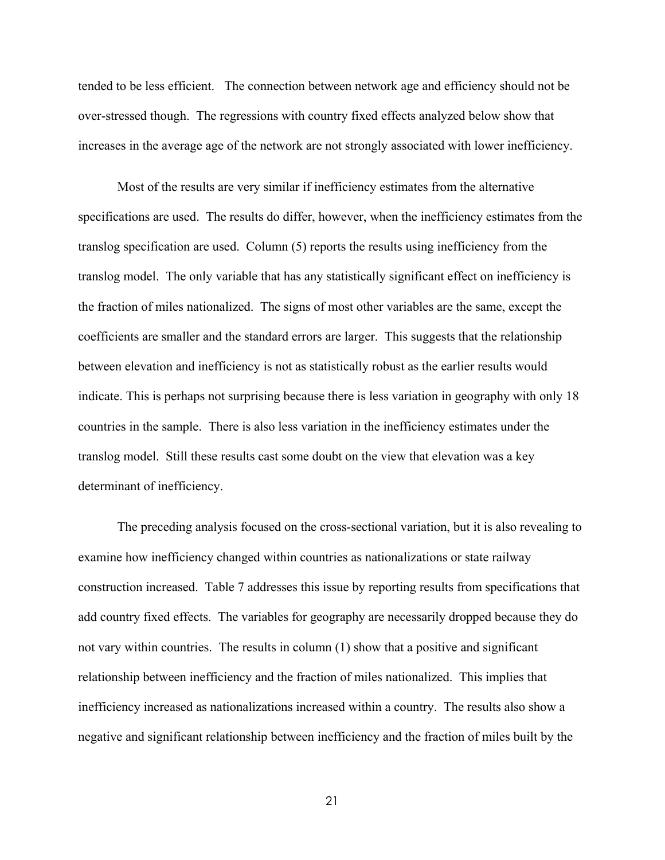tended to be less efficient. The connection between network age and efficiency should not be over-stressed though. The regressions with country fixed effects analyzed below show that increases in the average age of the network are not strongly associated with lower inefficiency.

Most of the results are very similar if inefficiency estimates from the alternative specifications are used. The results do differ, however, when the inefficiency estimates from the translog specification are used. Column (5) reports the results using inefficiency from the translog model. The only variable that has any statistically significant effect on inefficiency is the fraction of miles nationalized. The signs of most other variables are the same, except the coefficients are smaller and the standard errors are larger. This suggests that the relationship between elevation and inefficiency is not as statistically robust as the earlier results would indicate. This is perhaps not surprising because there is less variation in geography with only 18 countries in the sample. There is also less variation in the inefficiency estimates under the translog model. Still these results cast some doubt on the view that elevation was a key determinant of inefficiency.

The preceding analysis focused on the cross-sectional variation, but it is also revealing to examine how inefficiency changed within countries as nationalizations or state railway construction increased. Table 7 addresses this issue by reporting results from specifications that add country fixed effects. The variables for geography are necessarily dropped because they do not vary within countries. The results in column (1) show that a positive and significant relationship between inefficiency and the fraction of miles nationalized. This implies that inefficiency increased as nationalizations increased within a country. The results also show a negative and significant relationship between inefficiency and the fraction of miles built by the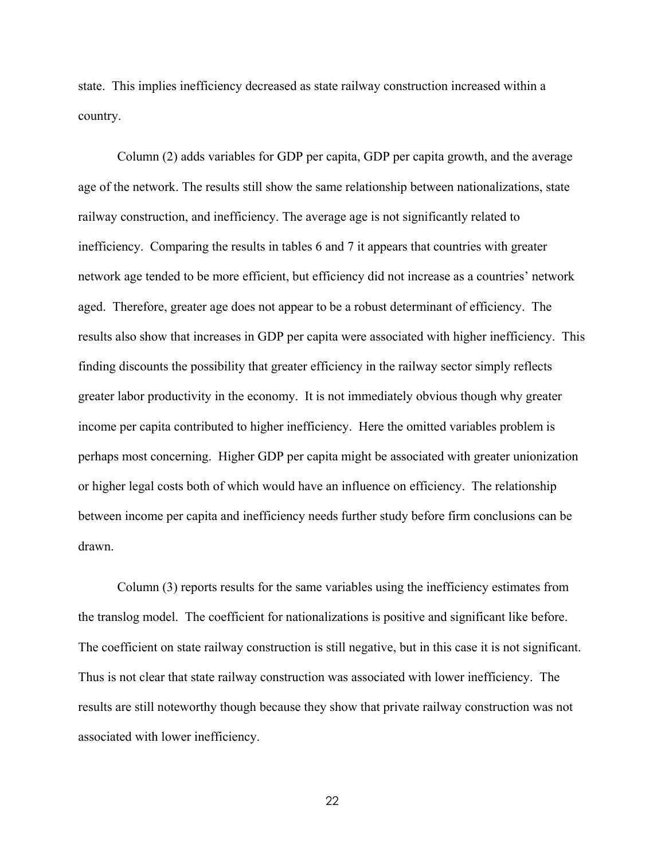state. This implies inefficiency decreased as state railway construction increased within a country.

Column (2) adds variables for GDP per capita, GDP per capita growth, and the average age of the network. The results still show the same relationship between nationalizations, state railway construction, and inefficiency. The average age is not significantly related to inefficiency. Comparing the results in tables 6 and 7 it appears that countries with greater network age tended to be more efficient, but efficiency did not increase as a countries' network aged. Therefore, greater age does not appear to be a robust determinant of efficiency. The results also show that increases in GDP per capita were associated with higher inefficiency. This finding discounts the possibility that greater efficiency in the railway sector simply reflects greater labor productivity in the economy. It is not immediately obvious though why greater income per capita contributed to higher inefficiency. Here the omitted variables problem is perhaps most concerning. Higher GDP per capita might be associated with greater unionization or higher legal costs both of which would have an influence on efficiency. The relationship between income per capita and inefficiency needs further study before firm conclusions can be drawn.

Column (3) reports results for the same variables using the inefficiency estimates from the translog model. The coefficient for nationalizations is positive and significant like before. The coefficient on state railway construction is still negative, but in this case it is not significant. Thus is not clear that state railway construction was associated with lower inefficiency. The results are still noteworthy though because they show that private railway construction was not associated with lower inefficiency.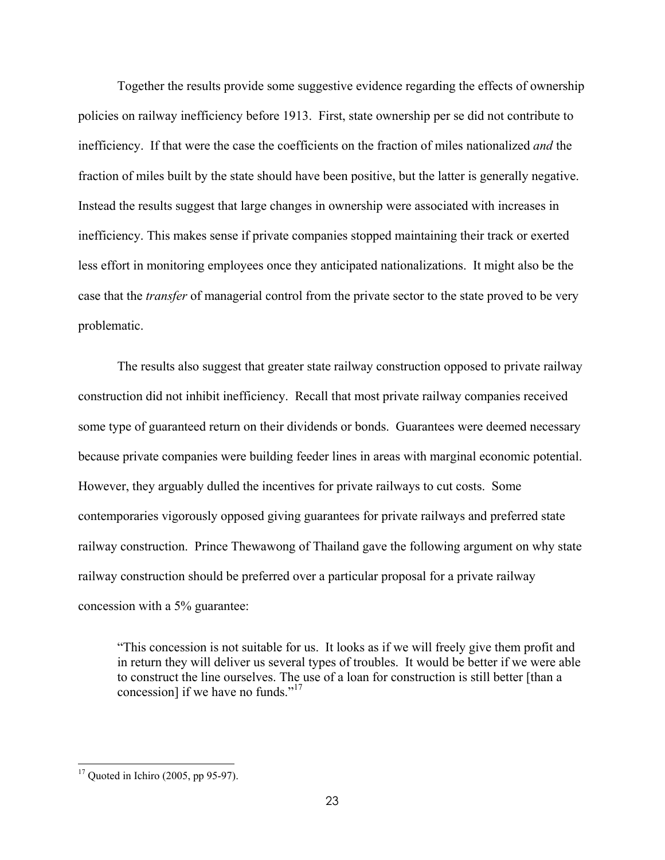Together the results provide some suggestive evidence regarding the effects of ownership policies on railway inefficiency before 1913. First, state ownership per se did not contribute to inefficiency. If that were the case the coefficients on the fraction of miles nationalized *and* the fraction of miles built by the state should have been positive, but the latter is generally negative. Instead the results suggest that large changes in ownership were associated with increases in inefficiency. This makes sense if private companies stopped maintaining their track or exerted less effort in monitoring employees once they anticipated nationalizations. It might also be the case that the *transfer* of managerial control from the private sector to the state proved to be very problematic.

The results also suggest that greater state railway construction opposed to private railway construction did not inhibit inefficiency. Recall that most private railway companies received some type of guaranteed return on their dividends or bonds. Guarantees were deemed necessary because private companies were building feeder lines in areas with marginal economic potential. However, they arguably dulled the incentives for private railways to cut costs. Some contemporaries vigorously opposed giving guarantees for private railways and preferred state railway construction. Prince Thewawong of Thailand gave the following argument on why state railway construction should be preferred over a particular proposal for a private railway concession with a 5% guarantee:

"This concession is not suitable for us. It looks as if we will freely give them profit and in return they will deliver us several types of troubles. It would be better if we were able to construct the line ourselves. The use of a loan for construction is still better [than a concession] if we have no funds."<sup>17</sup>

 $17$  Quoted in Ichiro (2005, pp 95-97).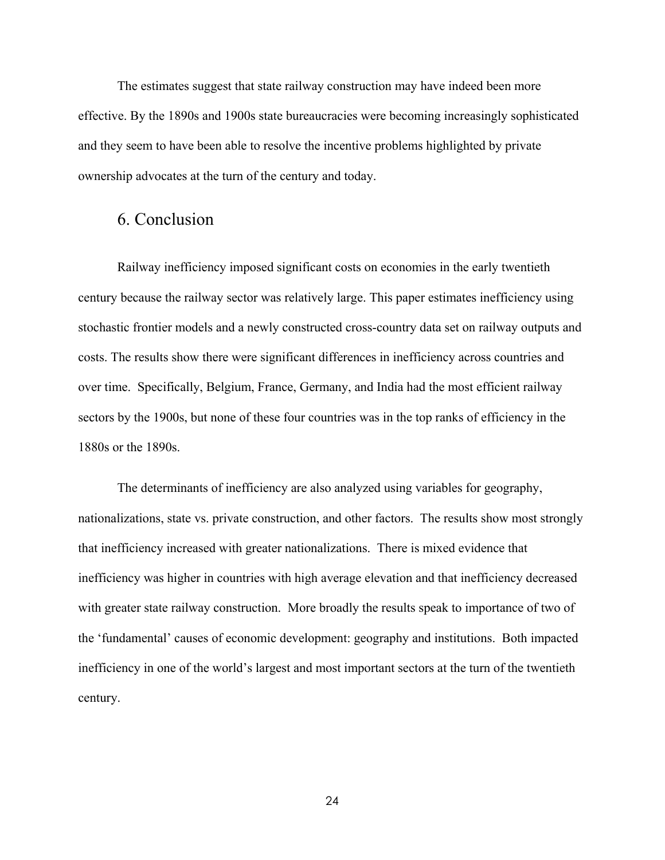The estimates suggest that state railway construction may have indeed been more effective. By the 1890s and 1900s state bureaucracies were becoming increasingly sophisticated and they seem to have been able to resolve the incentive problems highlighted by private ownership advocates at the turn of the century and today.

## 6. Conclusion

Railway inefficiency imposed significant costs on economies in the early twentieth century because the railway sector was relatively large. This paper estimates inefficiency using stochastic frontier models and a newly constructed cross-country data set on railway outputs and costs. The results show there were significant differences in inefficiency across countries and over time. Specifically, Belgium, France, Germany, and India had the most efficient railway sectors by the 1900s, but none of these four countries was in the top ranks of efficiency in the 1880s or the 1890s.

The determinants of inefficiency are also analyzed using variables for geography, nationalizations, state vs. private construction, and other factors. The results show most strongly that inefficiency increased with greater nationalizations. There is mixed evidence that inefficiency was higher in countries with high average elevation and that inefficiency decreased with greater state railway construction. More broadly the results speak to importance of two of the 'fundamental' causes of economic development: geography and institutions. Both impacted inefficiency in one of the world's largest and most important sectors at the turn of the twentieth century.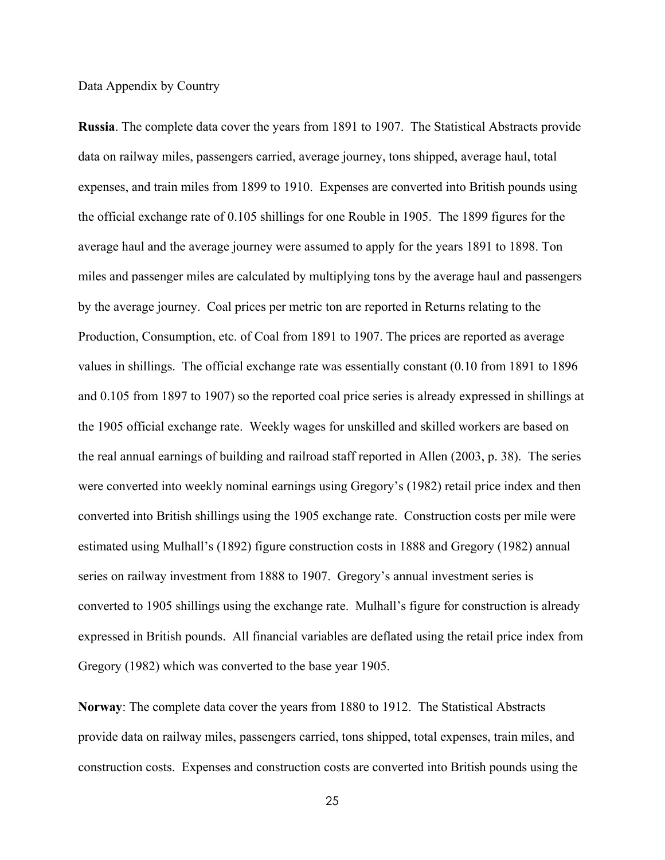Data Appendix by Country

**Russia**. The complete data cover the years from 1891 to 1907. The Statistical Abstracts provide data on railway miles, passengers carried, average journey, tons shipped, average haul, total expenses, and train miles from 1899 to 1910. Expenses are converted into British pounds using the official exchange rate of 0.105 shillings for one Rouble in 1905. The 1899 figures for the average haul and the average journey were assumed to apply for the years 1891 to 1898. Ton miles and passenger miles are calculated by multiplying tons by the average haul and passengers by the average journey. Coal prices per metric ton are reported in Returns relating to the Production, Consumption, etc. of Coal from 1891 to 1907. The prices are reported as average values in shillings. The official exchange rate was essentially constant (0.10 from 1891 to 1896 and 0.105 from 1897 to 1907) so the reported coal price series is already expressed in shillings at the 1905 official exchange rate. Weekly wages for unskilled and skilled workers are based on the real annual earnings of building and railroad staff reported in Allen (2003, p. 38). The series were converted into weekly nominal earnings using Gregory's (1982) retail price index and then converted into British shillings using the 1905 exchange rate. Construction costs per mile were estimated using Mulhall's (1892) figure construction costs in 1888 and Gregory (1982) annual series on railway investment from 1888 to 1907. Gregory's annual investment series is converted to 1905 shillings using the exchange rate. Mulhall's figure for construction is already expressed in British pounds. All financial variables are deflated using the retail price index from Gregory (1982) which was converted to the base year 1905.

**Norway**: The complete data cover the years from 1880 to 1912. The Statistical Abstracts provide data on railway miles, passengers carried, tons shipped, total expenses, train miles, and construction costs. Expenses and construction costs are converted into British pounds using the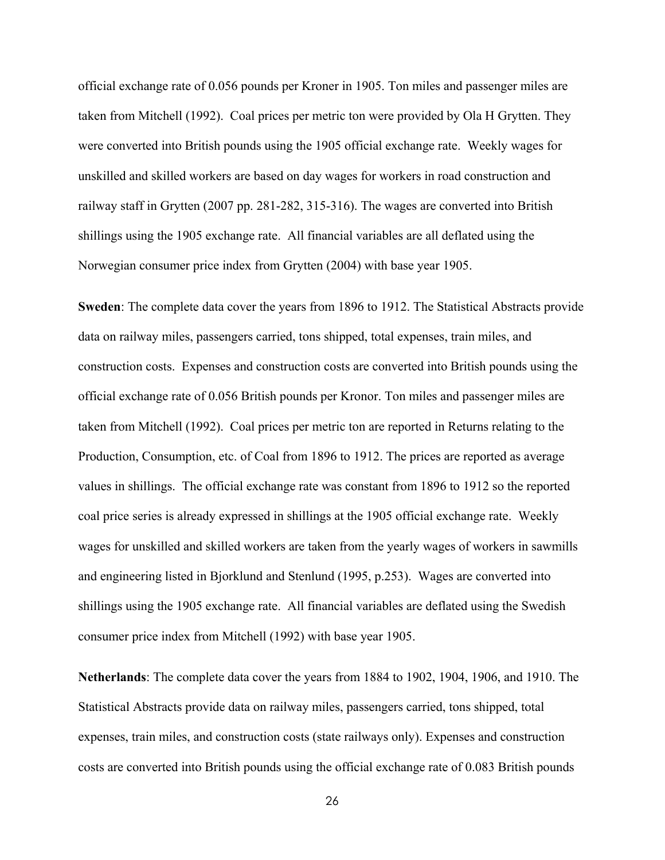official exchange rate of 0.056 pounds per Kroner in 1905. Ton miles and passenger miles are taken from Mitchell (1992). Coal prices per metric ton were provided by Ola H Grytten. They were converted into British pounds using the 1905 official exchange rate. Weekly wages for unskilled and skilled workers are based on day wages for workers in road construction and railway staff in Grytten (2007 pp. 281-282, 315-316). The wages are converted into British shillings using the 1905 exchange rate. All financial variables are all deflated using the Norwegian consumer price index from Grytten (2004) with base year 1905.

**Sweden**: The complete data cover the years from 1896 to 1912. The Statistical Abstracts provide data on railway miles, passengers carried, tons shipped, total expenses, train miles, and construction costs. Expenses and construction costs are converted into British pounds using the official exchange rate of 0.056 British pounds per Kronor. Ton miles and passenger miles are taken from Mitchell (1992). Coal prices per metric ton are reported in Returns relating to the Production, Consumption, etc. of Coal from 1896 to 1912. The prices are reported as average values in shillings. The official exchange rate was constant from 1896 to 1912 so the reported coal price series is already expressed in shillings at the 1905 official exchange rate. Weekly wages for unskilled and skilled workers are taken from the yearly wages of workers in sawmills and engineering listed in Bjorklund and Stenlund (1995, p.253). Wages are converted into shillings using the 1905 exchange rate. All financial variables are deflated using the Swedish consumer price index from Mitchell (1992) with base year 1905.

**Netherlands**: The complete data cover the years from 1884 to 1902, 1904, 1906, and 1910. The Statistical Abstracts provide data on railway miles, passengers carried, tons shipped, total expenses, train miles, and construction costs (state railways only). Expenses and construction costs are converted into British pounds using the official exchange rate of 0.083 British pounds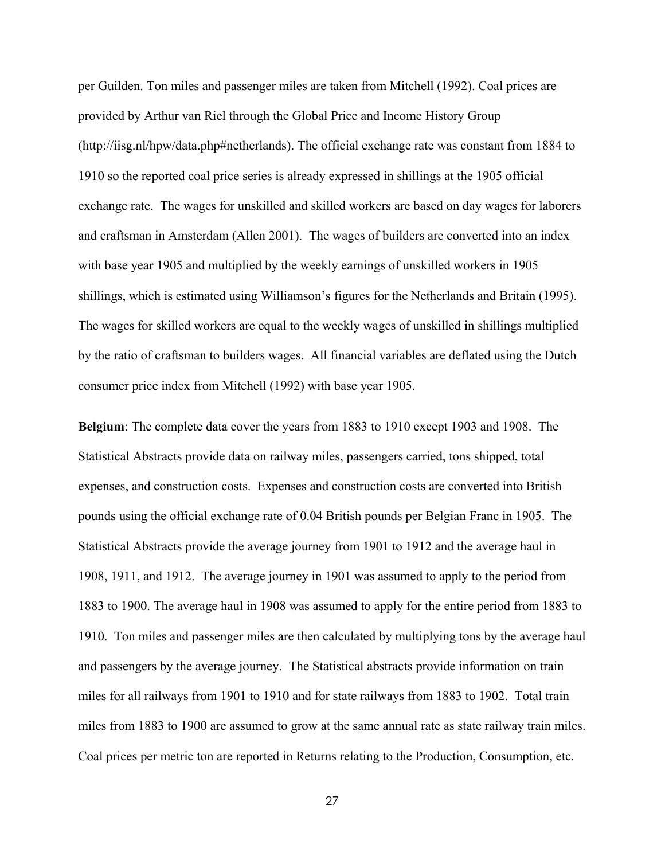per Guilden. Ton miles and passenger miles are taken from Mitchell (1992). Coal prices are provided by Arthur van Riel through the Global Price and Income History Group (http://iisg.nl/hpw/data.php#netherlands). The official exchange rate was constant from 1884 to 1910 so the reported coal price series is already expressed in shillings at the 1905 official exchange rate. The wages for unskilled and skilled workers are based on day wages for laborers and craftsman in Amsterdam (Allen 2001). The wages of builders are converted into an index with base year 1905 and multiplied by the weekly earnings of unskilled workers in 1905 shillings, which is estimated using Williamson's figures for the Netherlands and Britain (1995). The wages for skilled workers are equal to the weekly wages of unskilled in shillings multiplied by the ratio of craftsman to builders wages. All financial variables are deflated using the Dutch consumer price index from Mitchell (1992) with base year 1905.

**Belgium**: The complete data cover the years from 1883 to 1910 except 1903 and 1908. The Statistical Abstracts provide data on railway miles, passengers carried, tons shipped, total expenses, and construction costs. Expenses and construction costs are converted into British pounds using the official exchange rate of 0.04 British pounds per Belgian Franc in 1905. The Statistical Abstracts provide the average journey from 1901 to 1912 and the average haul in 1908, 1911, and 1912. The average journey in 1901 was assumed to apply to the period from 1883 to 1900. The average haul in 1908 was assumed to apply for the entire period from 1883 to 1910. Ton miles and passenger miles are then calculated by multiplying tons by the average haul and passengers by the average journey. The Statistical abstracts provide information on train miles for all railways from 1901 to 1910 and for state railways from 1883 to 1902. Total train miles from 1883 to 1900 are assumed to grow at the same annual rate as state railway train miles. Coal prices per metric ton are reported in Returns relating to the Production, Consumption, etc.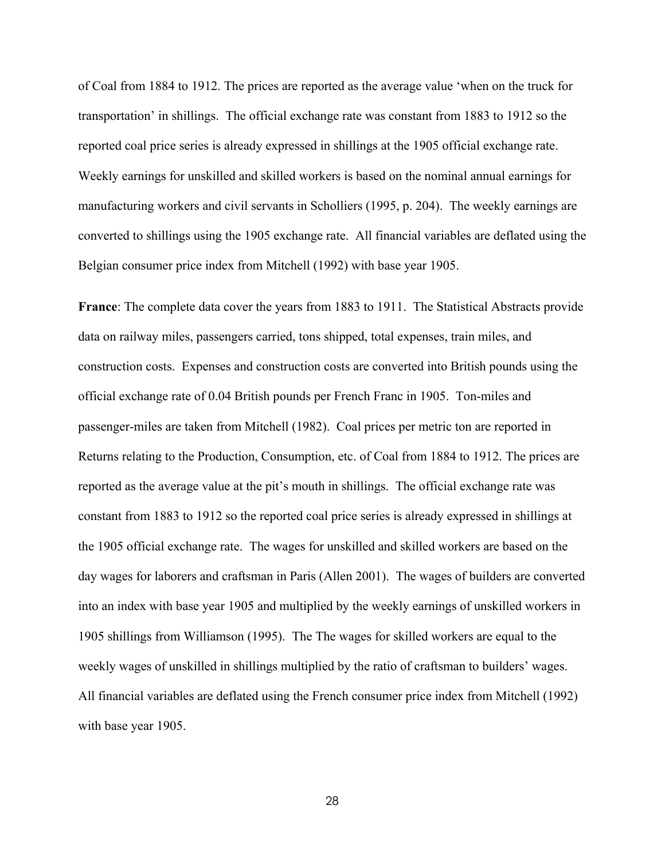of Coal from 1884 to 1912. The prices are reported as the average value 'when on the truck for transportation' in shillings. The official exchange rate was constant from 1883 to 1912 so the reported coal price series is already expressed in shillings at the 1905 official exchange rate. Weekly earnings for unskilled and skilled workers is based on the nominal annual earnings for manufacturing workers and civil servants in Scholliers (1995, p. 204). The weekly earnings are converted to shillings using the 1905 exchange rate. All financial variables are deflated using the Belgian consumer price index from Mitchell (1992) with base year 1905.

**France**: The complete data cover the years from 1883 to 1911. The Statistical Abstracts provide data on railway miles, passengers carried, tons shipped, total expenses, train miles, and construction costs. Expenses and construction costs are converted into British pounds using the official exchange rate of 0.04 British pounds per French Franc in 1905. Ton-miles and passenger-miles are taken from Mitchell (1982). Coal prices per metric ton are reported in Returns relating to the Production, Consumption, etc. of Coal from 1884 to 1912. The prices are reported as the average value at the pit's mouth in shillings. The official exchange rate was constant from 1883 to 1912 so the reported coal price series is already expressed in shillings at the 1905 official exchange rate. The wages for unskilled and skilled workers are based on the day wages for laborers and craftsman in Paris (Allen 2001). The wages of builders are converted into an index with base year 1905 and multiplied by the weekly earnings of unskilled workers in 1905 shillings from Williamson (1995). The The wages for skilled workers are equal to the weekly wages of unskilled in shillings multiplied by the ratio of craftsman to builders' wages. All financial variables are deflated using the French consumer price index from Mitchell (1992) with base year 1905.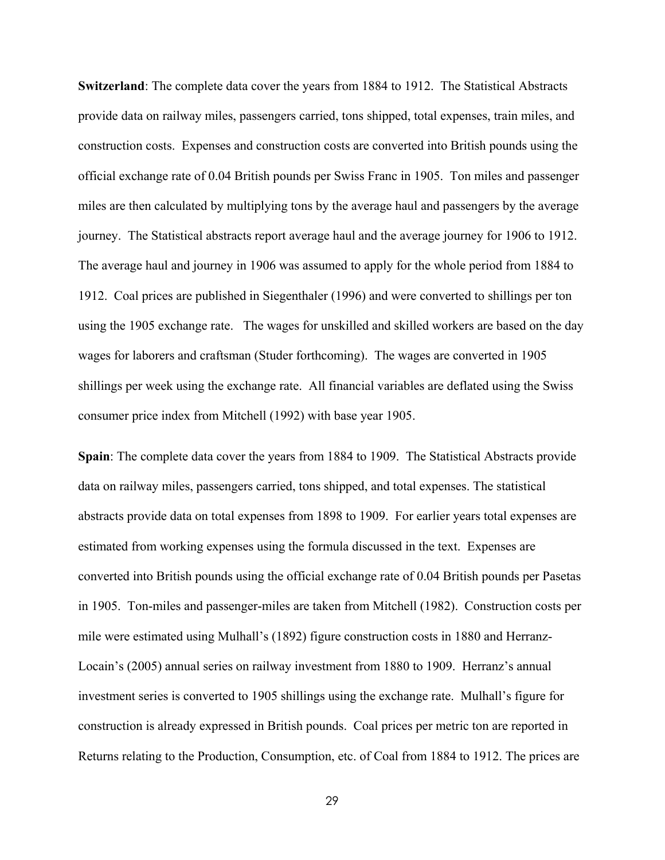**Switzerland**: The complete data cover the years from 1884 to 1912. The Statistical Abstracts provide data on railway miles, passengers carried, tons shipped, total expenses, train miles, and construction costs. Expenses and construction costs are converted into British pounds using the official exchange rate of 0.04 British pounds per Swiss Franc in 1905. Ton miles and passenger miles are then calculated by multiplying tons by the average haul and passengers by the average journey. The Statistical abstracts report average haul and the average journey for 1906 to 1912. The average haul and journey in 1906 was assumed to apply for the whole period from 1884 to 1912. Coal prices are published in Siegenthaler (1996) and were converted to shillings per ton using the 1905 exchange rate. The wages for unskilled and skilled workers are based on the day wages for laborers and craftsman (Studer forthcoming). The wages are converted in 1905 shillings per week using the exchange rate. All financial variables are deflated using the Swiss consumer price index from Mitchell (1992) with base year 1905.

**Spain**: The complete data cover the years from 1884 to 1909. The Statistical Abstracts provide data on railway miles, passengers carried, tons shipped, and total expenses. The statistical abstracts provide data on total expenses from 1898 to 1909. For earlier years total expenses are estimated from working expenses using the formula discussed in the text. Expenses are converted into British pounds using the official exchange rate of 0.04 British pounds per Pasetas in 1905. Ton-miles and passenger-miles are taken from Mitchell (1982). Construction costs per mile were estimated using Mulhall's (1892) figure construction costs in 1880 and Herranz-Locain's (2005) annual series on railway investment from 1880 to 1909. Herranz's annual investment series is converted to 1905 shillings using the exchange rate. Mulhall's figure for construction is already expressed in British pounds. Coal prices per metric ton are reported in Returns relating to the Production, Consumption, etc. of Coal from 1884 to 1912. The prices are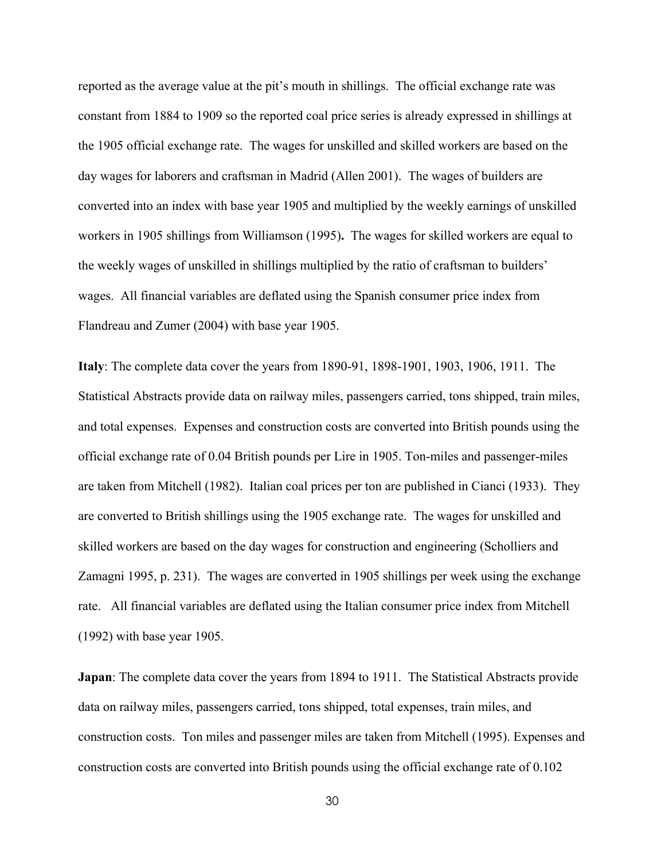reported as the average value at the pit's mouth in shillings. The official exchange rate was constant from 1884 to 1909 so the reported coal price series is already expressed in shillings at the 1905 official exchange rate. The wages for unskilled and skilled workers are based on the day wages for laborers and craftsman in Madrid (Allen 2001). The wages of builders are converted into an index with base year 1905 and multiplied by the weekly earnings of unskilled workers in 1905 shillings from Williamson (1995)**.** The wages for skilled workers are equal to the weekly wages of unskilled in shillings multiplied by the ratio of craftsman to builders' wages. All financial variables are deflated using the Spanish consumer price index from Flandreau and Zumer (2004) with base year 1905.

**Italy**: The complete data cover the years from 1890-91, 1898-1901, 1903, 1906, 1911. The Statistical Abstracts provide data on railway miles, passengers carried, tons shipped, train miles, and total expenses. Expenses and construction costs are converted into British pounds using the official exchange rate of 0.04 British pounds per Lire in 1905. Ton-miles and passenger-miles are taken from Mitchell (1982). Italian coal prices per ton are published in Cianci (1933). They are converted to British shillings using the 1905 exchange rate. The wages for unskilled and skilled workers are based on the day wages for construction and engineering (Scholliers and Zamagni 1995, p. 231). The wages are converted in 1905 shillings per week using the exchange rate. All financial variables are deflated using the Italian consumer price index from Mitchell (1992) with base year 1905.

**Japan**: The complete data cover the years from 1894 to 1911. The Statistical Abstracts provide data on railway miles, passengers carried, tons shipped, total expenses, train miles, and construction costs. Ton miles and passenger miles are taken from Mitchell (1995). Expenses and construction costs are converted into British pounds using the official exchange rate of 0.102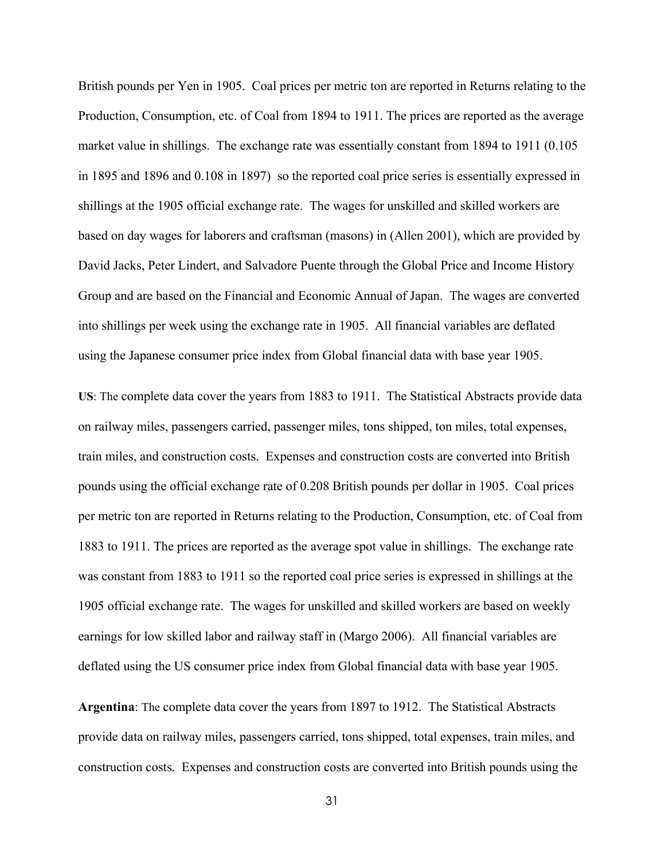British pounds per Yen in 1905. Coal prices per metric ton are reported in Returns relating to the Production, Consumption, etc. of Coal from 1894 to 1911. The prices are reported as the average market value in shillings. The exchange rate was essentially constant from 1894 to 1911 (0.105 in 1895 and 1896 and 0.108 in 1897) so the reported coal price series is essentially expressed in shillings at the 1905 official exchange rate. The wages for unskilled and skilled workers are based on day wages for laborers and craftsman (masons) in (Allen 2001), which are provided by David Jacks, Peter Lindert, and Salvadore Puente through the Global Price and Income History Group and are based on the Financial and Economic Annual of Japan. The wages are converted into shillings per week using the exchange rate in 1905. All financial variables are deflated using the Japanese consumer price index from Global financial data with base year 1905.

**US**: The complete data cover the years from 1883 to 1911. The Statistical Abstracts provide data on railway miles, passengers carried, passenger miles, tons shipped, ton miles, total expenses, train miles, and construction costs. Expenses and construction costs are converted into British pounds using the official exchange rate of 0.208 British pounds per dollar in 1905. Coal prices per metric ton are reported in Returns relating to the Production, Consumption, etc. of Coal from 1883 to 1911. The prices are reported as the average spot value in shillings. The exchange rate was constant from 1883 to 1911 so the reported coal price series is expressed in shillings at the 1905 official exchange rate. The wages for unskilled and skilled workers are based on weekly earnings for low skilled labor and railway staff in (Margo 2006). All financial variables are deflated using the US consumer price index from Global financial data with base year 1905.

**Argentina**: The complete data cover the years from 1897 to 1912. The Statistical Abstracts provide data on railway miles, passengers carried, tons shipped, total expenses, train miles, and construction costs. Expenses and construction costs are converted into British pounds using the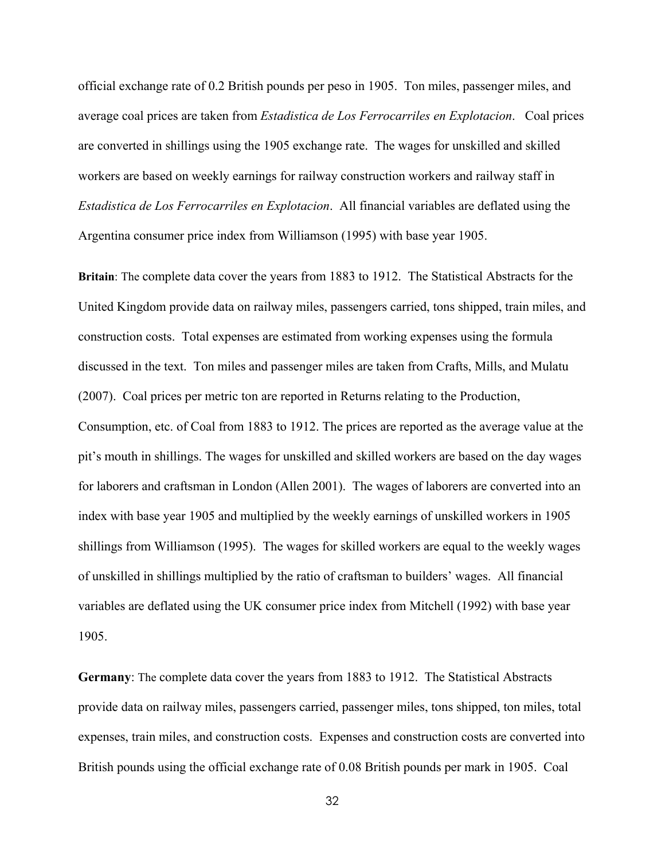official exchange rate of 0.2 British pounds per peso in 1905. Ton miles, passenger miles, and average coal prices are taken from *Estadistica de Los Ferrocarriles en Explotacion*. Coal prices are converted in shillings using the 1905 exchange rate. The wages for unskilled and skilled workers are based on weekly earnings for railway construction workers and railway staff in *Estadistica de Los Ferrocarriles en Explotacion*. All financial variables are deflated using the Argentina consumer price index from Williamson (1995) with base year 1905.

**Britain**: The complete data cover the years from 1883 to 1912. The Statistical Abstracts for the United Kingdom provide data on railway miles, passengers carried, tons shipped, train miles, and construction costs. Total expenses are estimated from working expenses using the formula discussed in the text. Ton miles and passenger miles are taken from Crafts, Mills, and Mulatu (2007). Coal prices per metric ton are reported in Returns relating to the Production, Consumption, etc. of Coal from 1883 to 1912. The prices are reported as the average value at the pit's mouth in shillings. The wages for unskilled and skilled workers are based on the day wages for laborers and craftsman in London (Allen 2001). The wages of laborers are converted into an index with base year 1905 and multiplied by the weekly earnings of unskilled workers in 1905 shillings from Williamson (1995). The wages for skilled workers are equal to the weekly wages of unskilled in shillings multiplied by the ratio of craftsman to builders' wages. All financial variables are deflated using the UK consumer price index from Mitchell (1992) with base year 1905.

**Germany**: The complete data cover the years from 1883 to 1912. The Statistical Abstracts provide data on railway miles, passengers carried, passenger miles, tons shipped, ton miles, total expenses, train miles, and construction costs. Expenses and construction costs are converted into British pounds using the official exchange rate of 0.08 British pounds per mark in 1905. Coal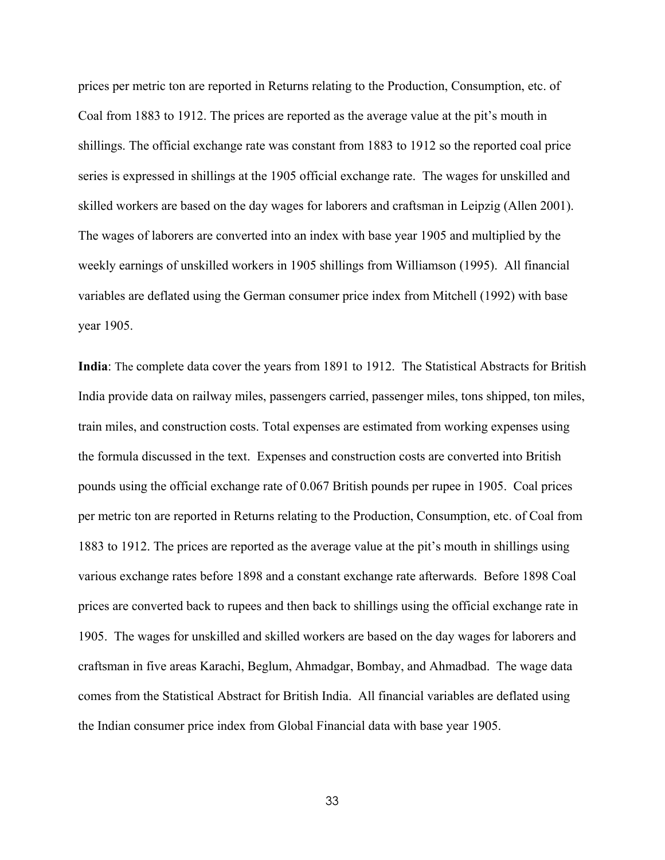prices per metric ton are reported in Returns relating to the Production, Consumption, etc. of Coal from 1883 to 1912. The prices are reported as the average value at the pit's mouth in shillings. The official exchange rate was constant from 1883 to 1912 so the reported coal price series is expressed in shillings at the 1905 official exchange rate. The wages for unskilled and skilled workers are based on the day wages for laborers and craftsman in Leipzig (Allen 2001). The wages of laborers are converted into an index with base year 1905 and multiplied by the weekly earnings of unskilled workers in 1905 shillings from Williamson (1995). All financial variables are deflated using the German consumer price index from Mitchell (1992) with base year 1905.

**India**: The complete data cover the years from 1891 to 1912. The Statistical Abstracts for British India provide data on railway miles, passengers carried, passenger miles, tons shipped, ton miles, train miles, and construction costs. Total expenses are estimated from working expenses using the formula discussed in the text. Expenses and construction costs are converted into British pounds using the official exchange rate of 0.067 British pounds per rupee in 1905. Coal prices per metric ton are reported in Returns relating to the Production, Consumption, etc. of Coal from 1883 to 1912. The prices are reported as the average value at the pit's mouth in shillings using various exchange rates before 1898 and a constant exchange rate afterwards. Before 1898 Coal prices are converted back to rupees and then back to shillings using the official exchange rate in 1905. The wages for unskilled and skilled workers are based on the day wages for laborers and craftsman in five areas Karachi, Beglum, Ahmadgar, Bombay, and Ahmadbad. The wage data comes from the Statistical Abstract for British India. All financial variables are deflated using the Indian consumer price index from Global Financial data with base year 1905.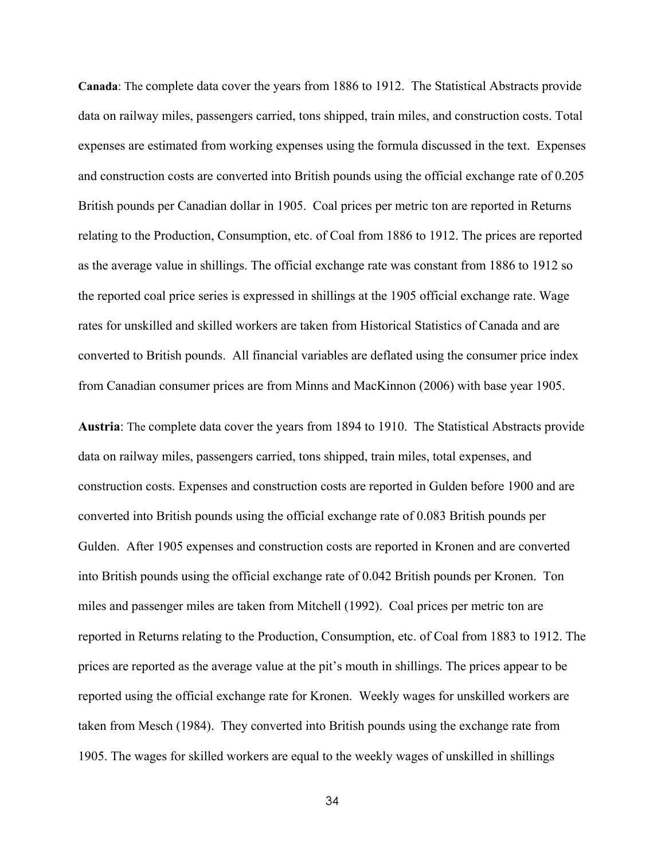**Canada**: The complete data cover the years from 1886 to 1912. The Statistical Abstracts provide data on railway miles, passengers carried, tons shipped, train miles, and construction costs. Total expenses are estimated from working expenses using the formula discussed in the text. Expenses and construction costs are converted into British pounds using the official exchange rate of 0.205 British pounds per Canadian dollar in 1905. Coal prices per metric ton are reported in Returns relating to the Production, Consumption, etc. of Coal from 1886 to 1912. The prices are reported as the average value in shillings. The official exchange rate was constant from 1886 to 1912 so the reported coal price series is expressed in shillings at the 1905 official exchange rate. Wage rates for unskilled and skilled workers are taken from Historical Statistics of Canada and are converted to British pounds. All financial variables are deflated using the consumer price index from Canadian consumer prices are from Minns and MacKinnon (2006) with base year 1905.

**Austria**: The complete data cover the years from 1894 to 1910. The Statistical Abstracts provide data on railway miles, passengers carried, tons shipped, train miles, total expenses, and construction costs. Expenses and construction costs are reported in Gulden before 1900 and are converted into British pounds using the official exchange rate of 0.083 British pounds per Gulden. After 1905 expenses and construction costs are reported in Kronen and are converted into British pounds using the official exchange rate of 0.042 British pounds per Kronen. Ton miles and passenger miles are taken from Mitchell (1992). Coal prices per metric ton are reported in Returns relating to the Production, Consumption, etc. of Coal from 1883 to 1912. The prices are reported as the average value at the pit's mouth in shillings. The prices appear to be reported using the official exchange rate for Kronen. Weekly wages for unskilled workers are taken from Mesch (1984). They converted into British pounds using the exchange rate from 1905. The wages for skilled workers are equal to the weekly wages of unskilled in shillings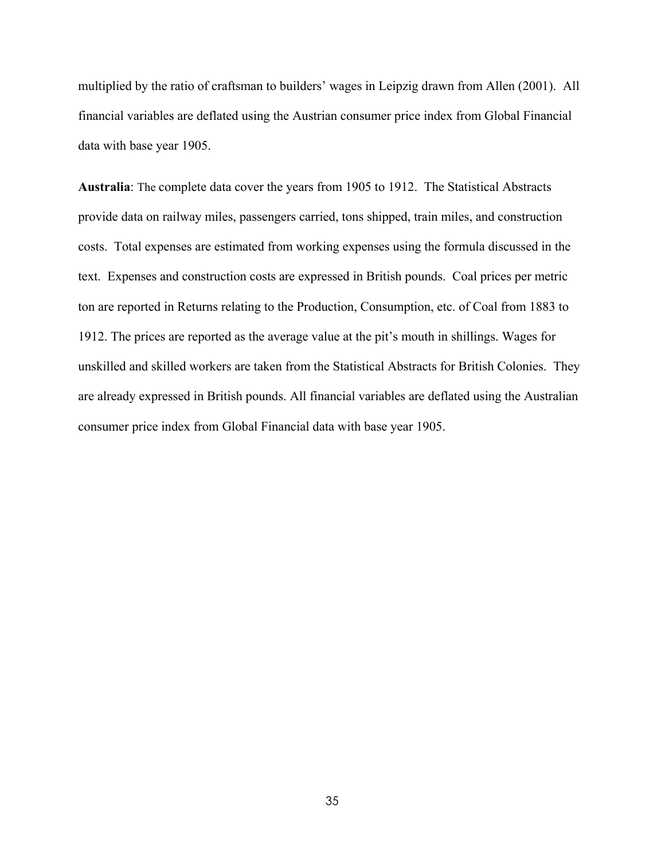multiplied by the ratio of craftsman to builders' wages in Leipzig drawn from Allen (2001). All financial variables are deflated using the Austrian consumer price index from Global Financial data with base year 1905.

**Australia**: The complete data cover the years from 1905 to 1912. The Statistical Abstracts provide data on railway miles, passengers carried, tons shipped, train miles, and construction costs. Total expenses are estimated from working expenses using the formula discussed in the text. Expenses and construction costs are expressed in British pounds. Coal prices per metric ton are reported in Returns relating to the Production, Consumption, etc. of Coal from 1883 to 1912. The prices are reported as the average value at the pit's mouth in shillings. Wages for unskilled and skilled workers are taken from the Statistical Abstracts for British Colonies. They are already expressed in British pounds. All financial variables are deflated using the Australian consumer price index from Global Financial data with base year 1905.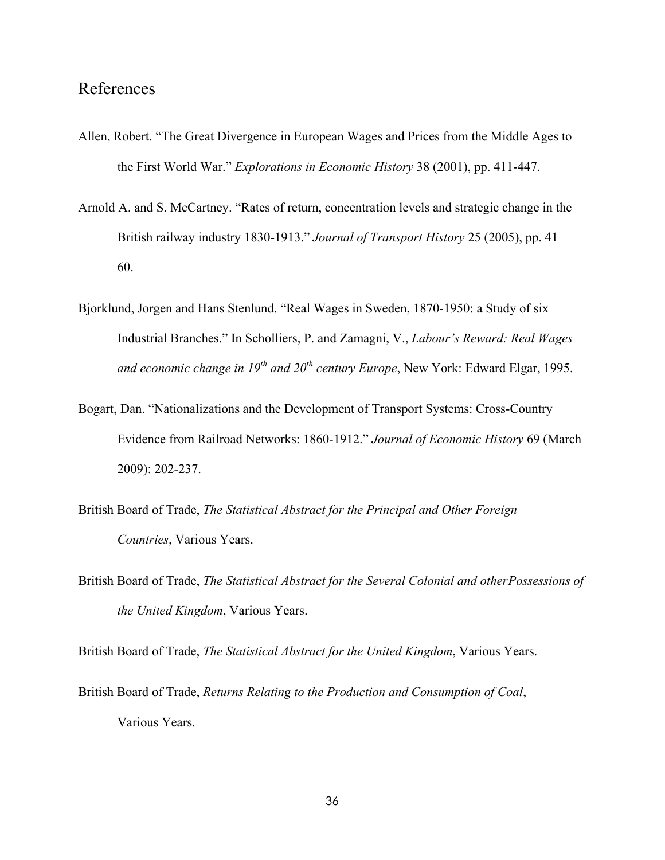## References

- Allen, Robert. "The Great Divergence in European Wages and Prices from the Middle Ages to the First World War." *Explorations in Economic History* 38 (2001), pp. 411-447.
- Arnold A. and S. McCartney. "Rates of return, concentration levels and strategic change in the British railway industry 1830-1913." *Journal of Transport History* 25 (2005), pp. 41 60.
- Bjorklund, Jorgen and Hans Stenlund. "Real Wages in Sweden, 1870-1950: a Study of six Industrial Branches." In Scholliers, P. and Zamagni, V., *Labour's Reward: Real Wages* and economic change in 19<sup>th</sup> and 20<sup>th</sup> century Europe, New York: Edward Elgar, 1995.
- Bogart, Dan. "Nationalizations and the Development of Transport Systems: Cross-Country Evidence from Railroad Networks: 1860-1912." *Journal of Economic History* 69 (March 2009): 202-237.
- British Board of Trade, *The Statistical Abstract for the Principal and Other Foreign Countries*, Various Years.
- British Board of Trade, *The Statistical Abstract for the Several Colonial and other Possessions of the United Kingdom*, Various Years.

British Board of Trade, *The Statistical Abstract for the United Kingdom*, Various Years.

British Board of Trade, *Returns Relating to the Production and Consumption of Coal*, Various Years.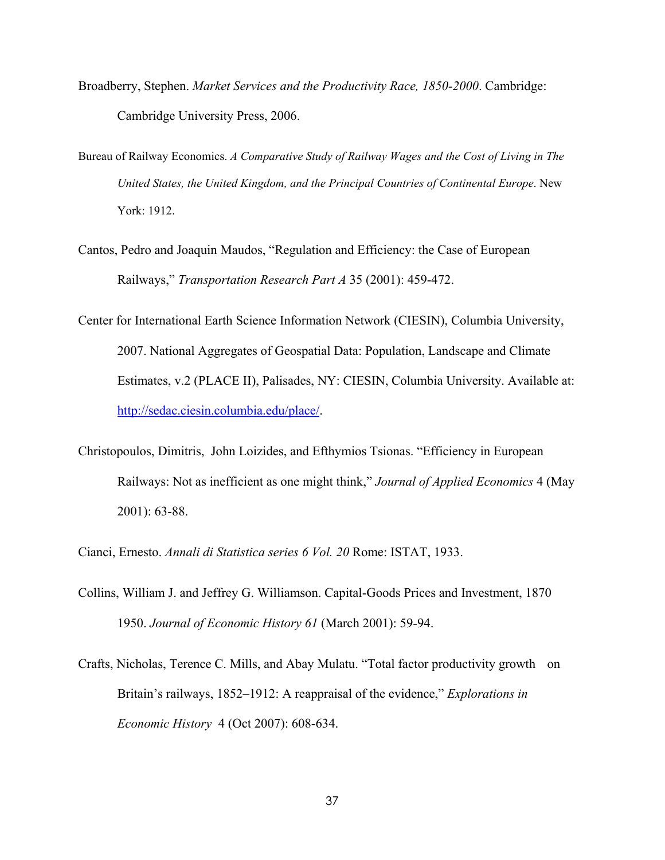- Broadberry, Stephen. *Market Services and the Productivity Race, 1850-2000*. Cambridge: Cambridge University Press, 2006.
- Bureau of Railway Economics. *A Comparative Study of Railway Wages and the Cost of Living in The United States, the United Kingdom, and the Principal Countries of Continental Europe*. New York: 1912.
- Cantos, Pedro and Joaquin Maudos, "Regulation and Efficiency: the Case of European Railways," *Transportation Research Part A* 35 (2001): 459-472.
- Center for International Earth Science Information Network (CIESIN), Columbia University, 2007. National Aggregates of Geospatial Data: Population, Landscape and Climate Estimates, v.2 (PLACE II), Palisades, NY: CIESIN, Columbia University. Available at: http://sedac.ciesin.columbia.edu/place/.
- Christopoulos, Dimitris, John Loizides, and Efthymios Tsionas. "Efficiency in European Railways: Not as inefficient as one might think," *Journal of Applied Economics* 4 (May 2001): 63-88.
- Cianci, Ernesto. *Annali di Statistica series 6 Vol. 20* Rome: ISTAT, 1933.
- Collins, William J. and Jeffrey G. Williamson. Capital-Goods Prices and Investment, 1870 1950. *Journal of Economic History 61* (March 2001): 59-94.
- Crafts, Nicholas, Terence C. Mills, and Abay Mulatu. "Total factor productivity growth on Britain's railways, 1852–1912: A reappraisal of the evidence," *Explorations in Economic History* 4 (Oct 2007): 608-634.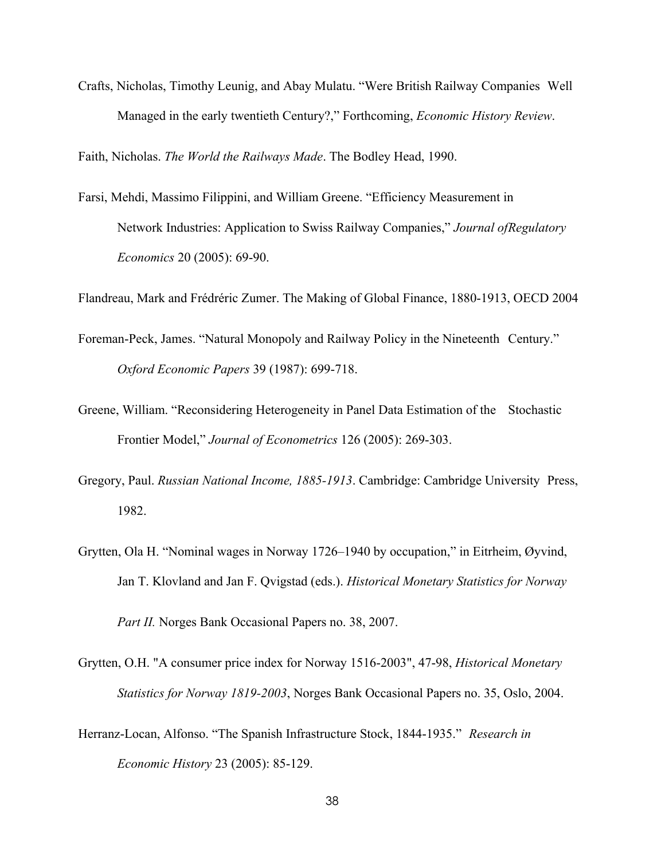Crafts, Nicholas, Timothy Leunig, and Abay Mulatu. "Were British Railway Companies Well Managed in the early twentieth Century?," Forthcoming, *Economic History Review*.

Faith, Nicholas. *The World the Railways Made*. The Bodley Head, 1990.

Farsi, Mehdi, Massimo Filippini, and William Greene. "Efficiency Measurement in Network Industries: Application to Swiss Railway Companies," *Journal of Regulatory Economics* 20 (2005): 69-90.

Flandreau, Mark and Frédréric Zumer. The Making of Global Finance, 1880-1913, OECD 2004

- Foreman-Peck, James. "Natural Monopoly and Railway Policy in the Nineteenth Century." *Oxford Economic Papers* 39 (1987): 699-718.
- Greene, William. "Reconsidering Heterogeneity in Panel Data Estimation of the Stochastic Frontier Model," *Journal of Econometrics* 126 (2005): 269-303.
- Gregory, Paul. *Russian National Income, 1885-1913*. Cambridge: Cambridge University Press, 1982.
- Grytten, Ola H. "Nominal wages in Norway 1726–1940 by occupation," in Eitrheim, Øyvind, Jan T. Klovland and Jan F. Qvigstad (eds.). *Historical Monetary Statistics for Norway*

Grytten, O.H. "A consumer price index for Norway 1516-2003", 47-98, *Historical Monetary*

*Part II.* Norges Bank Occasional Papers no. 38, 2007.

- *Statistics for Norway 1819-2003*, Norges Bank Occasional Papers no. 35, Oslo, 2004.
- Herranz-Locan, Alfonso. "The Spanish Infrastructure Stock, 1844-1935." *Research in Economic History* 23 (2005): 85-129.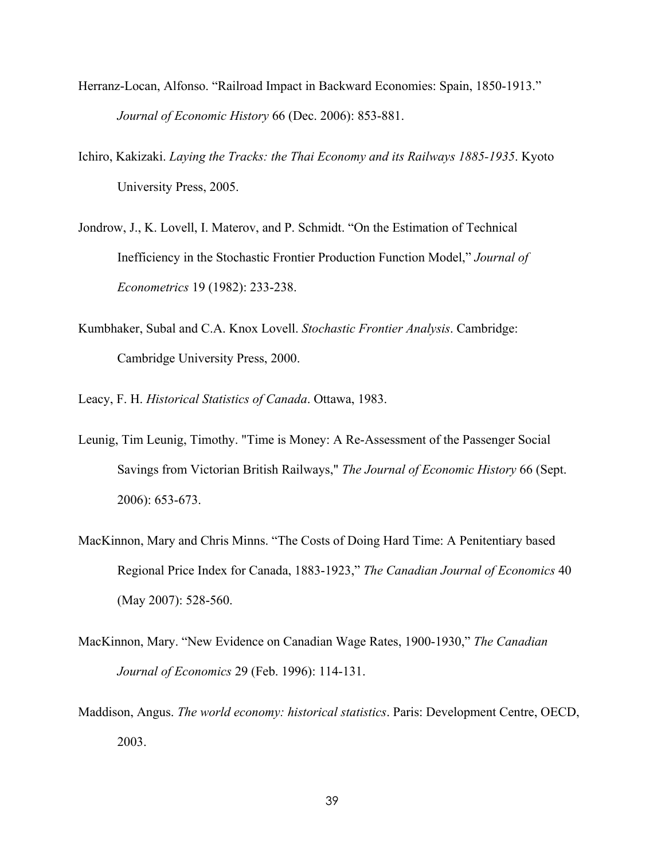- Herranz-Locan, Alfonso. "Railroad Impact in Backward Economies: Spain, 1850-1913." *Journal of Economic History* 66 (Dec. 2006): 853-881.
- Ichiro, Kakizaki. *Laying the Tracks: the Thai Economy and its Railways 1885-1935*. Kyoto University Press, 2005.
- Jondrow, J., K. Lovell, I. Materov, and P. Schmidt. "On the Estimation of Technical Inefficiency in the Stochastic Frontier Production Function Model," *Journal of Econometrics* 19 (1982): 233-238.
- Kumbhaker, Subal and C.A. Knox Lovell. *Stochastic Frontier Analysis*. Cambridge: Cambridge University Press, 2000.
- Leacy, F. H. *Historical Statistics of Canada*. Ottawa, 1983.
- Leunig, Tim Leunig, Timothy. "Time is Money: A Re-Assessment of the Passenger Social Savings from Victorian British Railways," *The Journal of Economic History* 66 (Sept. 2006): 653-673.
- MacKinnon, Mary and Chris Minns. "The Costs of Doing Hard Time: A Penitentiary based Regional Price Index for Canada, 1883-1923," *The Canadian Journal of Economics* 40 (May 2007): 528-560.
- MacKinnon, Mary. "New Evidence on Canadian Wage Rates, 1900-1930," *The Canadian Journal of Economics* 29 (Feb. 1996): 114-131.
- Maddison, Angus. *The world economy: historical statistics*. Paris: Development Centre, OECD, 2003.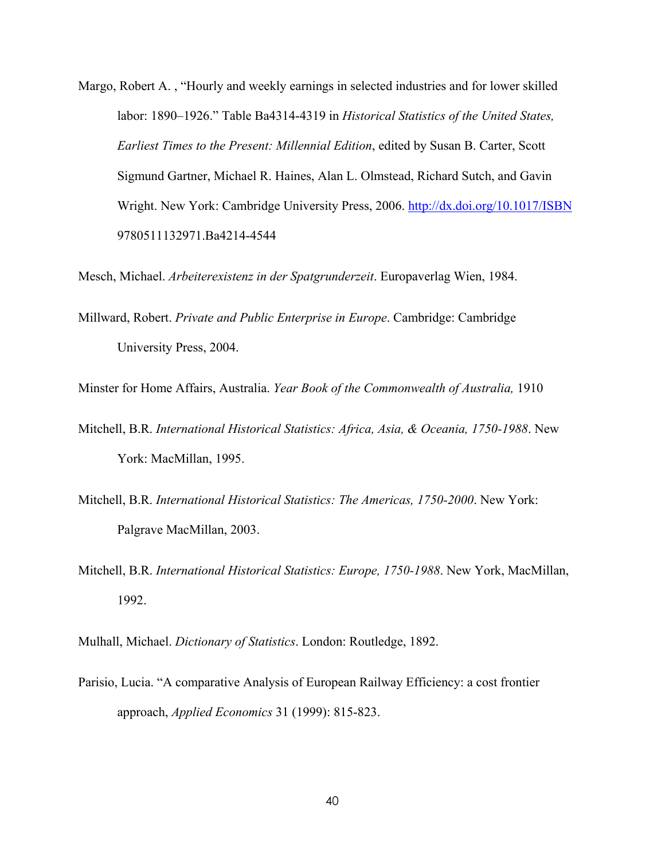Margo, Robert A. , "Hourly and weekly earnings in selected industries and for lower skilled labor: 1890–1926." Table Ba4314-4319 in *Historical Statistics of the United States, Earliest Times to the Present: Millennial Edition*, edited by Susan B. Carter, Scott Sigmund Gartner, Michael R. Haines, Alan L. Olmstead, Richard Sutch, and Gavin Wright. New York: Cambridge University Press, 2006. http://dx.doi.org/10.1017/ISBN 9780511132971.Ba4214-4544

Mesch, Michael. *Arbeiterexistenz in der Spatgrunderzeit*. Europaverlag Wien, 1984.

Millward, Robert. *Private and Public Enterprise in Europe*. Cambridge: Cambridge University Press, 2004.

Minster for Home Affairs, Australia. *Year Book of the Commonwealth of Australia,* 1910

- Mitchell, B.R. *International Historical Statistics: Africa, Asia, & Oceania, 1750-1988*. New York: MacMillan, 1995.
- Mitchell, B.R. *International Historical Statistics: The Americas, 1750-2000*. New York: Palgrave MacMillan, 2003.
- Mitchell, B.R. *International Historical Statistics: Europe, 1750-1988*. New York, MacMillan, 1992.

Mulhall, Michael. *Dictionary of Statistics*. London: Routledge, 1892.

Parisio, Lucia. "A comparative Analysis of European Railway Efficiency: a cost frontier approach, *Applied Economics* 31 (1999): 815-823.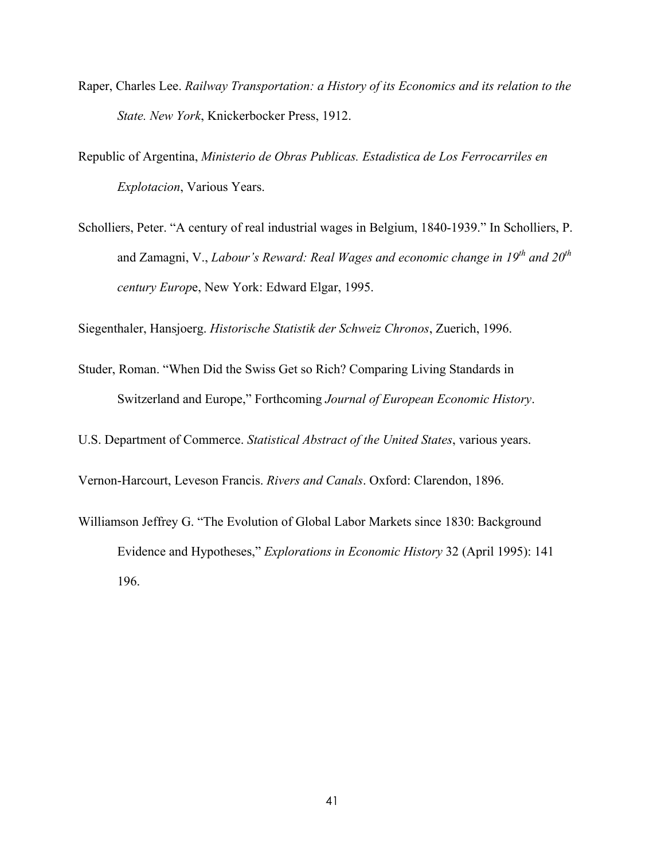- Raper, Charles Lee. *Railway Transportation: a History of its Economics and its relation to the State. New York*, Knickerbocker Press, 1912.
- Republic of Argentina, *Ministerio de Obras Publicas. Estadistica de Los Ferrocarriles en Explotacion*, Various Years.
- Scholliers, Peter. "A century of real industrial wages in Belgium, 1840-1939." In Scholliers, P. and Zamagni, V., *Labour's Reward: Real Wages and economic change in 19th and 20th century Europ*e, New York: Edward Elgar, 1995.

Siegenthaler, Hansjoerg. *Historische Statistik der Schweiz Chronos*, Zuerich, 1996.

Studer, Roman. "When Did the Swiss Get so Rich? Comparing Living Standards in Switzerland and Europe," Forthcoming *Journal of European Economic History*.

U.S. Department of Commerce. *Statistical Abstract of the United States*, various years.

Vernon-Harcourt, Leveson Francis. *Rivers and Canals*. Oxford: Clarendon, 1896.

Williamson Jeffrey G. "The Evolution of Global Labor Markets since 1830: Background Evidence and Hypotheses," *Explorations in Economic History* 32 (April 1995): 141 196.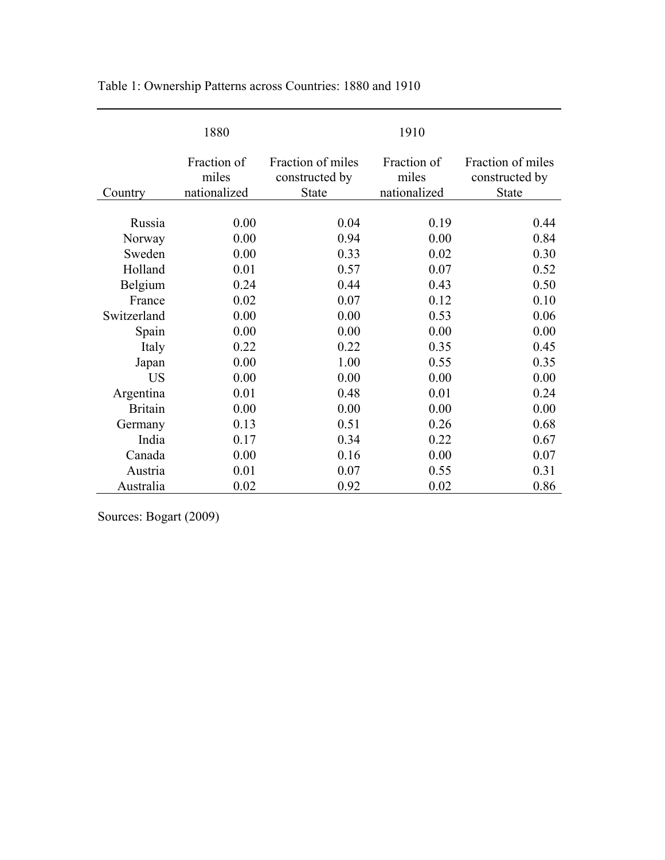|                | 1880                                 |                                              | 1910                                 |                                                     |
|----------------|--------------------------------------|----------------------------------------------|--------------------------------------|-----------------------------------------------------|
| Country        | Fraction of<br>miles<br>nationalized | Fraction of miles<br>constructed by<br>State | Fraction of<br>miles<br>nationalized | Fraction of miles<br>constructed by<br><b>State</b> |
|                |                                      |                                              |                                      |                                                     |
| Russia         | 0.00                                 | 0.04                                         | 0.19                                 | 0.44                                                |
| Norway         | 0.00                                 | 0.94                                         | 0.00                                 | 0.84                                                |
| Sweden         | 0.00                                 | 0.33                                         | 0.02                                 | 0.30                                                |
| Holland        | 0.01                                 | 0.57                                         | 0.07                                 | 0.52                                                |
| Belgium        | 0.24                                 | 0.44                                         | 0.43                                 | 0.50                                                |
| France         | 0.02                                 | 0.07                                         | 0.12                                 | 0.10                                                |
| Switzerland    | 0.00                                 | 0.00                                         | 0.53                                 | 0.06                                                |
| Spain          | 0.00                                 | 0.00                                         | 0.00                                 | 0.00                                                |
| Italy          | 0.22                                 | 0.22                                         | 0.35                                 | 0.45                                                |
| Japan          | 0.00                                 | 1.00                                         | 0.55                                 | 0.35                                                |
| US             | 0.00                                 | 0.00                                         | 0.00                                 | 0.00                                                |
| Argentina      | 0.01                                 | 0.48                                         | 0.01                                 | 0.24                                                |
| <b>Britain</b> | 0.00                                 | 0.00                                         | 0.00                                 | 0.00                                                |
| Germany        | 0.13                                 | 0.51                                         | 0.26                                 | 0.68                                                |
| India          | 0.17                                 | 0.34                                         | 0.22                                 | 0.67                                                |
| Canada         | 0.00                                 | 0.16                                         | 0.00                                 | 0.07                                                |
| Austria        | 0.01                                 | 0.07                                         | 0.55                                 | 0.31                                                |
| Australia      | 0.02                                 | 0.92                                         | 0.02                                 | 0.86                                                |

Table 1: Ownership Patterns across Countries: 1880 and 1910

Sources: Bogart (2009)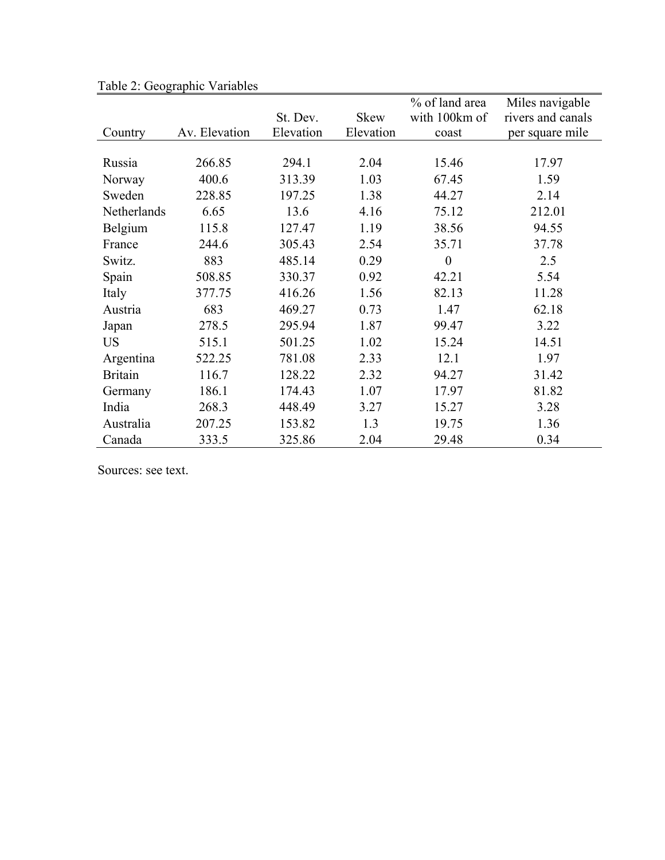|                |               |           |             | % of land area   | Miles navigable   |
|----------------|---------------|-----------|-------------|------------------|-------------------|
|                |               | St. Dev.  | <b>Skew</b> | with 100km of    | rivers and canals |
| Country        | Av. Elevation | Elevation | Elevation   | coast            | per square mile   |
|                |               |           |             |                  |                   |
| Russia         | 266.85        | 294.1     | 2.04        | 15.46            | 17.97             |
| Norway         | 400.6         | 313.39    | 1.03        | 67.45            | 1.59              |
| Sweden         | 228.85        | 197.25    | 1.38        | 44.27            | 2.14              |
| Netherlands    | 6.65          | 13.6      | 4.16        | 75.12            | 212.01            |
| Belgium        | 115.8         | 127.47    | 1.19        | 38.56            | 94.55             |
| France         | 244.6         | 305.43    | 2.54        | 35.71            | 37.78             |
| Switz.         | 883           | 485.14    | 0.29        | $\boldsymbol{0}$ | 2.5               |
| Spain          | 508.85        | 330.37    | 0.92        | 42.21            | 5.54              |
| Italy          | 377.75        | 416.26    | 1.56        | 82.13            | 11.28             |
| Austria        | 683           | 469.27    | 0.73        | 1.47             | 62.18             |
| Japan          | 278.5         | 295.94    | 1.87        | 99.47            | 3.22              |
| <b>US</b>      | 515.1         | 501.25    | 1.02        | 15.24            | 14.51             |
| Argentina      | 522.25        | 781.08    | 2.33        | 12.1             | 1.97              |
| <b>Britain</b> | 116.7         | 128.22    | 2.32        | 94.27            | 31.42             |
| Germany        | 186.1         | 174.43    | 1.07        | 17.97            | 81.82             |
| India          | 268.3         | 448.49    | 3.27        | 15.27            | 3.28              |
| Australia      | 207.25        | 153.82    | 1.3         | 19.75            | 1.36              |
| Canada         | 333.5         | 325.86    | 2.04        | 29.48            | 0.34              |

Table 2: Geographic Variables

Sources: see text.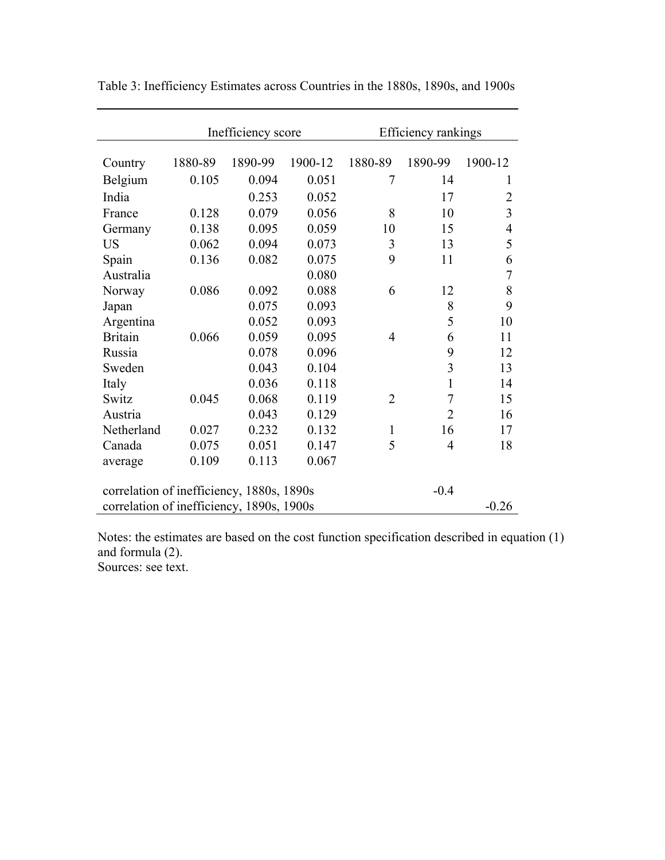|                                           | Inefficiency score |         |         | Efficiency rankings |                |                |  |
|-------------------------------------------|--------------------|---------|---------|---------------------|----------------|----------------|--|
| Country                                   | 1880-89            | 1890-99 | 1900-12 | 1880-89             | 1890-99        | 1900-12        |  |
| Belgium                                   | 0.105              | 0.094   | 0.051   | 7                   | 14             | 1              |  |
| India                                     |                    | 0.253   | 0.052   |                     | 17             | $\overline{2}$ |  |
| France                                    | 0.128              | 0.079   | 0.056   | 8                   | 10             | $\overline{3}$ |  |
| Germany                                   | 0.138              | 0.095   | 0.059   | 10                  | 15             | 4              |  |
| <b>US</b>                                 | 0.062              | 0.094   | 0.073   | 3                   | 13             | 5              |  |
| Spain                                     | 0.136              | 0.082   | 0.075   | 9                   | 11             | 6              |  |
| Australia                                 |                    |         | 0.080   |                     |                | $\overline{7}$ |  |
| Norway                                    | 0.086              | 0.092   | 0.088   | 6                   | 12             | 8              |  |
| Japan                                     |                    | 0.075   | 0.093   |                     | 8              | 9              |  |
| Argentina                                 |                    | 0.052   | 0.093   |                     | 5              | 10             |  |
| <b>Britain</b>                            | 0.066              | 0.059   | 0.095   | $\overline{4}$      | 6              | 11             |  |
| Russia                                    |                    | 0.078   | 0.096   |                     | 9              | 12             |  |
| Sweden                                    |                    | 0.043   | 0.104   |                     | 3              | 13             |  |
| Italy                                     |                    | 0.036   | 0.118   |                     | $\mathbf{1}$   | 14             |  |
| Switz                                     | 0.045              | 0.068   | 0.119   | $\overline{2}$      | $\overline{7}$ | 15             |  |
| Austria                                   |                    | 0.043   | 0.129   |                     | $\overline{2}$ | 16             |  |
| Netherland                                | 0.027              | 0.232   | 0.132   | $\mathbf{1}$        | 16             | 17             |  |
| Canada                                    | 0.075              | 0.051   | 0.147   | 5                   | $\overline{4}$ | 18             |  |
| average                                   | 0.109              | 0.113   | 0.067   |                     |                |                |  |
| correlation of inefficiency, 1880s, 1890s |                    |         |         |                     | $-0.4$         |                |  |
| correlation of inefficiency, 1890s, 1900s |                    |         |         |                     |                | $-0.26$        |  |

Table 3: Inefficiency Estimates across Countries in the 1880s, 1890s, and 1900s

Notes: the estimates are based on the cost function specification described in equation (1) and formula (2). Sources: see text.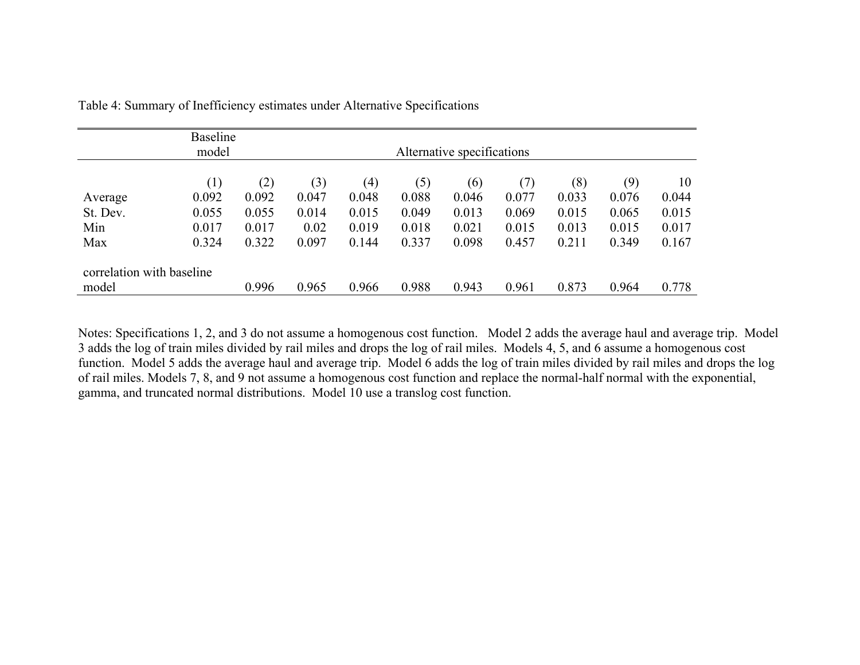|                           | <b>Baseline</b><br>model |       |       |       | Alternative specifications |       |       |       |       |       |
|---------------------------|--------------------------|-------|-------|-------|----------------------------|-------|-------|-------|-------|-------|
|                           | (1)                      | (2)   | (3)   | (4)   | (5)                        | (6)   | (7)   | (8)   | (9)   | 10    |
| Average                   | 0.092                    | 0.092 | 0.047 | 0.048 | 0.088                      | 0.046 | 0.077 | 0.033 | 0.076 | 0.044 |
| St. Dev.                  | 0.055                    | 0.055 | 0.014 | 0.015 | 0.049                      | 0.013 | 0.069 | 0.015 | 0.065 | 0.015 |
| Min                       | 0.017                    | 0.017 | 0.02  | 0.019 | 0.018                      | 0.021 | 0.015 | 0.013 | 0.015 | 0.017 |
| Max                       | 0.324                    | 0.322 | 0.097 | 0.144 | 0.337                      | 0.098 | 0.457 | 0.211 | 0.349 | 0.167 |
| correlation with baseline |                          |       |       |       |                            |       |       |       |       |       |
| model                     |                          | 0.996 | 0.965 | 0.966 | 0.988                      | 0.943 | 0.961 | 0.873 | 0.964 | 0.778 |

Table 4: Summary of Inefficiency estimates under Alternative Specifications

Notes: Specifications 1, 2, and 3 do not assume a homogenous cost function. Model 2 adds the average haul and average trip. Model 3 adds the log of train miles divided by rail miles and drops the log of rail miles. Models 4, 5, and 6 assume a homogenous cost function. Model 5 adds the average haul and average trip. Model 6 adds the log of train miles divided by rail miles and drops the log of rail miles. Models 7, 8, and 9 not assume a homogenous cost function and replace the normal-half normal with the exponential, gamma, and truncated normal distributions. Model 10 use a translog cost function.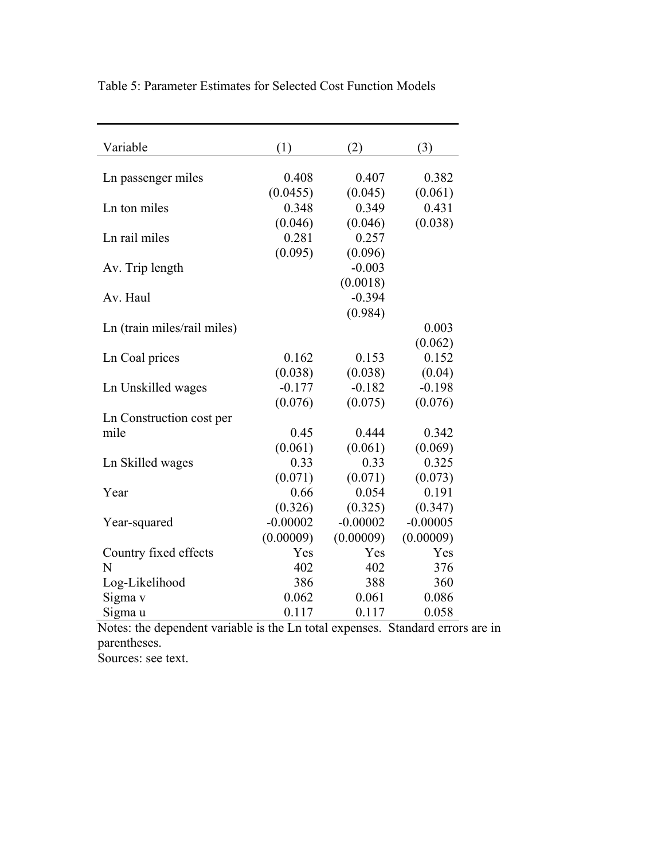| Variable                    | (1)        | (2)        | (3)        |
|-----------------------------|------------|------------|------------|
| Ln passenger miles          | 0.408      | 0.407      | 0.382      |
|                             | (0.0455)   | (0.045)    | (0.061)    |
| Ln ton miles                | 0.348      | 0.349      | 0.431      |
|                             | (0.046)    | (0.046)    | (0.038)    |
| Ln rail miles               | 0.281      | 0.257      |            |
|                             | (0.095)    | (0.096)    |            |
| Av. Trip length             |            | $-0.003$   |            |
|                             |            | (0.0018)   |            |
| Av. Haul                    |            | $-0.394$   |            |
|                             |            | (0.984)    |            |
| Ln (train miles/rail miles) |            |            | 0.003      |
|                             |            |            | (0.062)    |
| Ln Coal prices              | 0.162      | 0.153      | 0.152      |
|                             | (0.038)    | (0.038)    | (0.04)     |
| Ln Unskilled wages          | $-0.177$   | $-0.182$   | $-0.198$   |
|                             | (0.076)    | (0.075)    | (0.076)    |
| Ln Construction cost per    |            |            |            |
| mile                        | 0.45       | 0.444      | 0.342      |
|                             | (0.061)    | (0.061)    | (0.069)    |
| Ln Skilled wages            | 0.33       | 0.33       | 0.325      |
|                             | (0.071)    | (0.071)    | (0.073)    |
| Year                        | 0.66       | 0.054      | 0.191      |
|                             | (0.326)    | (0.325)    | (0.347)    |
| Year-squared                | $-0.00002$ | $-0.00002$ | $-0.00005$ |
|                             | (0.00009)  | (0.00009)  | (0.00009)  |
| Country fixed effects       | Yes        | Yes        | Yes        |
| N                           | 402        | 402        | 376        |
| Log-Likelihood              | 386        | 388        | 360        |
| Sigma v                     | 0.062      | 0.061      | 0.086      |
| Sigma u                     | 0.117      | 0.117      | 0.058      |

Table 5: Parameter Estimates for Selected Cost Function Models

Notes: the dependent variable is the Ln total expenses. Standard errors are in parentheses. Sources: see text.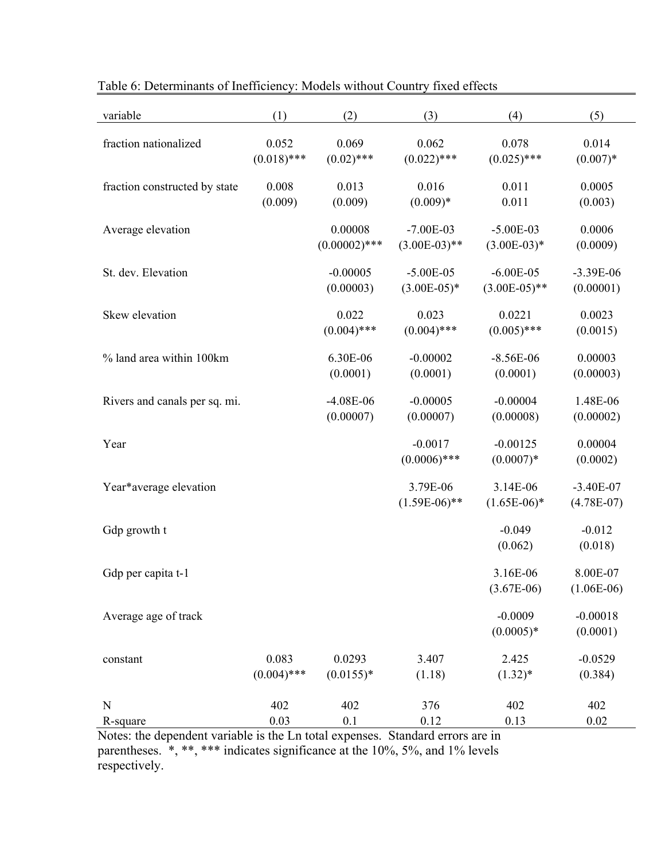| variable                      | (1)           | (2)             | (3)             | (4)             | (5)           |
|-------------------------------|---------------|-----------------|-----------------|-----------------|---------------|
| fraction nationalized         | 0.052         | 0.069           | 0.062           | 0.078           | 0.014         |
|                               | $(0.018)$ *** | $(0.02)$ ***    | $(0.022)$ ***   | $(0.025)$ ***   | $(0.007)*$    |
| fraction constructed by state | 0.008         | 0.013           | 0.016           | 0.011           | 0.0005        |
|                               | (0.009)       | (0.009)         | $(0.009)*$      | 0.011           | (0.003)       |
| Average elevation             |               | 0.00008         | $-7.00E-03$     | $-5.00E-03$     | 0.0006        |
|                               |               | $(0.00002)$ *** | $(3.00E-03)$ ** | $(3.00E-03)*$   | (0.0009)      |
| St. dev. Elevation            |               | $-0.00005$      | $-5.00E-05$     | $-6.00E - 05$   | $-3.39E-06$   |
|                               |               | (0.00003)       | $(3.00E-05)*$   | $(3.00E-05)$ ** | (0.00001)     |
| Skew elevation                |               | 0.022           | 0.023           | 0.0221          | 0.0023        |
|                               |               | $(0.004)$ ***   | $(0.004)$ ***   | $(0.005)$ ***   | (0.0015)      |
| % land area within 100km      |               | 6.30E-06        | $-0.00002$      | $-8.56E-06$     | 0.00003       |
|                               |               | (0.0001)        | (0.0001)        | (0.0001)        | (0.00003)     |
|                               |               |                 |                 |                 |               |
| Rivers and canals per sq. mi. |               | $-4.08E-06$     | $-0.00005$      | $-0.00004$      | 1.48E-06      |
|                               |               | (0.00007)       | (0.00007)       | (0.00008)       | (0.00002)     |
| Year                          |               |                 | $-0.0017$       | $-0.00125$      | 0.00004       |
|                               |               |                 | $(0.0006)$ ***  | $(0.0007)*$     | (0.0002)      |
| Year*average elevation        |               |                 | 3.79E-06        | 3.14E-06        | $-3.40E - 07$ |
|                               |               |                 | $(1.59E-06)$ ** | $(1.65E-06)^*$  | $(4.78E-07)$  |
| Gdp growth t                  |               |                 |                 | $-0.049$        | $-0.012$      |
|                               |               |                 |                 | (0.062)         | (0.018)       |
| Gdp per capita t-1            |               |                 |                 | 3.16E-06        | 8.00E-07      |
|                               |               |                 |                 | $(3.67E-06)$    | $(1.06E-06)$  |
| Average age of track          |               |                 |                 | $-0.0009$       | $-0.00018$    |
|                               |               |                 |                 | $(0.0005)*$     | (0.0001)      |
|                               |               |                 |                 |                 |               |
| constant                      | 0.083         | 0.0293          | 3.407           | 2.425           | $-0.0529$     |
|                               | $(0.004)$ *** | $(0.0155)*$     | (1.18)          | $(1.32)^*$      | (0.384)       |
| N                             | 402           | 402             | 376             | 402             | 402           |
| R-square                      | 0.03          | 0.1             | 0.12            | 0.13            | 0.02          |

Table 6: Determinants of Inefficiency: Models without Country fixed effects

Notes: the dependent variable is the Ln total expenses. Standard errors are in parentheses. \*, \*\*, \*\*\* indicates significance at the 10%, 5%, and 1% levels respectively.